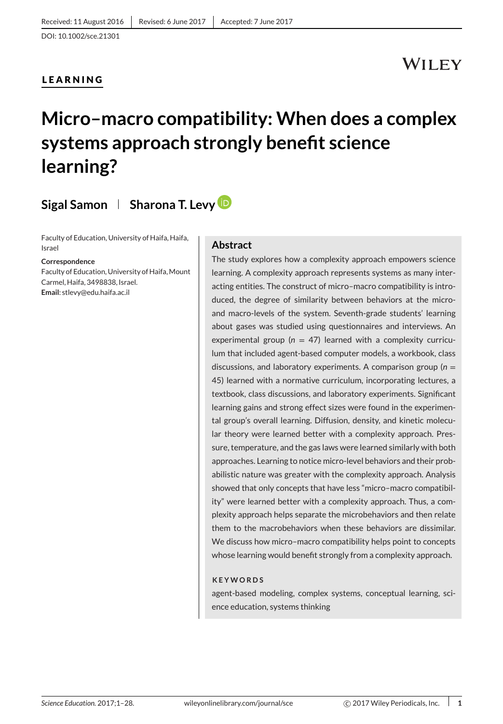# LEARNING

# WILEY

# **Micro–macro compatibility: When does a complex systems approach strongly benefit science learning?**

# **Sigal Samon Sharona T. Levy**

Faculty of Education, University of Haifa, Haifa, Israel

**Correspondence**

Faculty of Education, University of Haifa, Mount Carmel, Haifa, 3498838, Israel. **Email**: stlevy@edu.haifa.ac.il

# **Abstract**

The study explores how a complexity approach empowers science learning. A complexity approach represents systems as many interacting entities. The construct of micro–macro compatibility is introduced, the degree of similarity between behaviors at the microand macro-levels of the system. Seventh-grade students' learning about gases was studied using questionnaires and interviews. An experimental group ( $n = 47$ ) learned with a complexity curriculum that included agent-based computer models, a workbook, class discussions, and laboratory experiments. A comparison group (*n* = 45) learned with a normative curriculum, incorporating lectures, a textbook, class discussions, and laboratory experiments. Significant learning gains and strong effect sizes were found in the experimental group's overall learning. Diffusion, density, and kinetic molecular theory were learned better with a complexity approach. Pressure, temperature, and the gas laws were learned similarly with both approaches. Learning to notice micro-level behaviors and their probabilistic nature was greater with the complexity approach. Analysis showed that only concepts that have less "micro–macro compatibility" were learned better with a complexity approach. Thus, a complexity approach helps separate the microbehaviors and then relate them to the macrobehaviors when these behaviors are dissimilar. We discuss how micro–macro compatibility helps point to concepts whose learning would benefit strongly from a complexity approach.

#### **KEYWORDS**

agent-based modeling, complex systems, conceptual learning, science education, systems thinking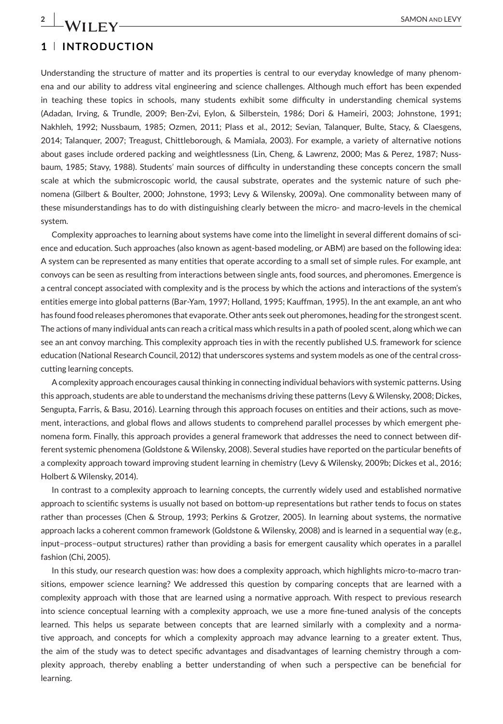# **1 INTRODUCTION**

Understanding the structure of matter and its properties is central to our everyday knowledge of many phenomena and our ability to address vital engineering and science challenges. Although much effort has been expended in teaching these topics in schools, many students exhibit some difficulty in understanding chemical systems (Adadan, Irving, & Trundle, 2009; Ben-Zvi, Eylon, & Silberstein, 1986; Dori & Hameiri, 2003; Johnstone, 1991; Nakhleh, 1992; Nussbaum, 1985; Ozmen, 2011; Plass et al., 2012; Sevian, Talanquer, Bulte, Stacy, & Claesgens, 2014; Talanquer, 2007; Treagust, Chittleborough, & Mamiala, 2003). For example, a variety of alternative notions about gases include ordered packing and weightlessness (Lin, Cheng, & Lawrenz, 2000; Mas & Perez, 1987; Nussbaum, 1985; Stavy, 1988). Students' main sources of difficulty in understanding these concepts concern the small scale at which the submicroscopic world, the causal substrate, operates and the systemic nature of such phenomena (Gilbert & Boulter, 2000; Johnstone, 1993; Levy & Wilensky, 2009a). One commonality between many of these misunderstandings has to do with distinguishing clearly between the micro- and macro-levels in the chemical system.

Complexity approaches to learning about systems have come into the limelight in several different domains of science and education. Such approaches (also known as agent-based modeling, or ABM) are based on the following idea: A system can be represented as many entities that operate according to a small set of simple rules. For example, ant convoys can be seen as resulting from interactions between single ants, food sources, and pheromones. Emergence is a central concept associated with complexity and is the process by which the actions and interactions of the system's entities emerge into global patterns (Bar-Yam, 1997; Holland, 1995; Kauffman, 1995). In the ant example, an ant who has found food releases pheromones that evaporate. Other ants seek out pheromones, heading for the strongest scent. The actions of many individual ants can reach a critical mass which results in a path of pooled scent, along which we can see an ant convoy marching. This complexity approach ties in with the recently published U.S. framework for science education (National Research Council, 2012) that underscores systems and system models as one of the central crosscutting learning concepts.

A complexity approach encourages causal thinking in connecting individual behaviors with systemic patterns. Using this approach, students are able to understand the mechanisms driving these patterns (Levy & Wilensky, 2008; Dickes, Sengupta, Farris, & Basu, 2016). Learning through this approach focuses on entities and their actions, such as movement, interactions, and global flows and allows students to comprehend parallel processes by which emergent phenomena form. Finally, this approach provides a general framework that addresses the need to connect between different systemic phenomena (Goldstone & Wilensky, 2008). Several studies have reported on the particular benefits of a complexity approach toward improving student learning in chemistry (Levy & Wilensky, 2009b; Dickes et al., 2016; Holbert & Wilensky, 2014).

In contrast to a complexity approach to learning concepts, the currently widely used and established normative approach to scientific systems is usually not based on bottom-up representations but rather tends to focus on states rather than processes (Chen & Stroup, 1993; Perkins & Grotzer, 2005). In learning about systems, the normative approach lacks a coherent common framework (Goldstone & Wilensky, 2008) and is learned in a sequential way (e.g., input–process–output structures) rather than providing a basis for emergent causality which operates in a parallel fashion (Chi, 2005).

In this study, our research question was: how does a complexity approach, which highlights micro-to-macro transitions, empower science learning? We addressed this question by comparing concepts that are learned with a complexity approach with those that are learned using a normative approach. With respect to previous research into science conceptual learning with a complexity approach, we use a more fine-tuned analysis of the concepts learned. This helps us separate between concepts that are learned similarly with a complexity and a normative approach, and concepts for which a complexity approach may advance learning to a greater extent. Thus, the aim of the study was to detect specific advantages and disadvantages of learning chemistry through a complexity approach, thereby enabling a better understanding of when such a perspective can be beneficial for learning.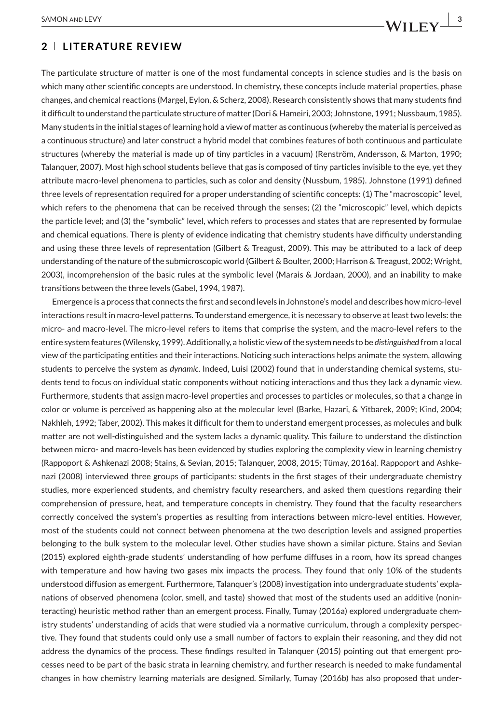# **2 LITERATURE REVIEW**

The particulate structure of matter is one of the most fundamental concepts in science studies and is the basis on which many other scientific concepts are understood. In chemistry, these concepts include material properties, phase changes, and chemical reactions (Margel, Eylon, & Scherz, 2008). Research consistently shows that many students find it difficult to understand the particulate structure of matter (Dori & Hameiri, 2003; Johnstone, 1991; Nussbaum, 1985). Many students in the initial stages of learning hold a view of matter as continuous (whereby the material is perceived as a continuous structure) and later construct a hybrid model that combines features of both continuous and particulate structures (whereby the material is made up of tiny particles in a vacuum) (Renström, Andersson, & Marton, 1990; Talanquer, 2007). Most high school students believe that gas is composed of tiny particles invisible to the eye, yet they attribute macro-level phenomena to particles, such as color and density (Nussbum, 1985). Johnstone (1991) defined three levels of representation required for a proper understanding of scientific concepts: (1) The "macroscopic" level, which refers to the phenomena that can be received through the senses; (2) the "microscopic" level, which depicts the particle level; and (3) the "symbolic" level, which refers to processes and states that are represented by formulae and chemical equations. There is plenty of evidence indicating that chemistry students have difficulty understanding and using these three levels of representation (Gilbert & Treagust, 2009). This may be attributed to a lack of deep understanding of the nature of the submicroscopic world (Gilbert & Boulter, 2000; Harrison & Treagust, 2002; Wright, 2003), incomprehension of the basic rules at the symbolic level (Marais & Jordaan, 2000), and an inability to make transitions between the three levels (Gabel, 1994, 1987).

Emergence is a process that connects the first and second levels in Johnstone's model and describes how micro-level interactions result in macro-level patterns. To understand emergence, it is necessary to observe at least two levels: the micro- and macro-level. The micro-level refers to items that comprise the system, and the macro-level refers to the entire system features (Wilensky, 1999). Additionally, a holistic view of the system needs to be *distinguished* from a local view of the participating entities and their interactions. Noticing such interactions helps animate the system, allowing students to perceive the system as *dynamic*. Indeed, Luisi (2002) found that in understanding chemical systems, students tend to focus on individual static components without noticing interactions and thus they lack a dynamic view. Furthermore, students that assign macro-level properties and processes to particles or molecules, so that a change in color or volume is perceived as happening also at the molecular level (Barke, Hazari, & Yitbarek, 2009; Kind, 2004; Nakhleh, 1992; Taber, 2002). This makes it difficult for them to understand emergent processes, as molecules and bulk matter are not well-distinguished and the system lacks a dynamic quality. This failure to understand the distinction between micro- and macro-levels has been evidenced by studies exploring the complexity view in learning chemistry (Rappoport & Ashkenazi 2008; Stains, & Sevian, 2015; Talanquer, 2008, 2015; Tümay, 2016a). Rappoport and Ashkenazi (2008) interviewed three groups of participants: students in the first stages of their undergraduate chemistry studies, more experienced students, and chemistry faculty researchers, and asked them questions regarding their comprehension of pressure, heat, and temperature concepts in chemistry. They found that the faculty researchers correctly conceived the system's properties as resulting from interactions between micro-level entities. However, most of the students could not connect between phenomena at the two description levels and assigned properties belonging to the bulk system to the molecular level. Other studies have shown a similar picture. Stains and Sevian (2015) explored eighth-grade students' understanding of how perfume diffuses in a room, how its spread changes with temperature and how having two gases mix impacts the process. They found that only 10% of the students understood diffusion as emergent. Furthermore, Talanquer's (2008) investigation into undergraduate students' explanations of observed phenomena (color, smell, and taste) showed that most of the students used an additive (noninteracting) heuristic method rather than an emergent process. Finally, Tumay (2016a) explored undergraduate chemistry students' understanding of acids that were studied via a normative curriculum, through a complexity perspective. They found that students could only use a small number of factors to explain their reasoning, and they did not address the dynamics of the process. These findings resulted in Talanquer (2015) pointing out that emergent processes need to be part of the basic strata in learning chemistry, and further research is needed to make fundamental changes in how chemistry learning materials are designed. Similarly, Tumay (2016b) has also proposed that under-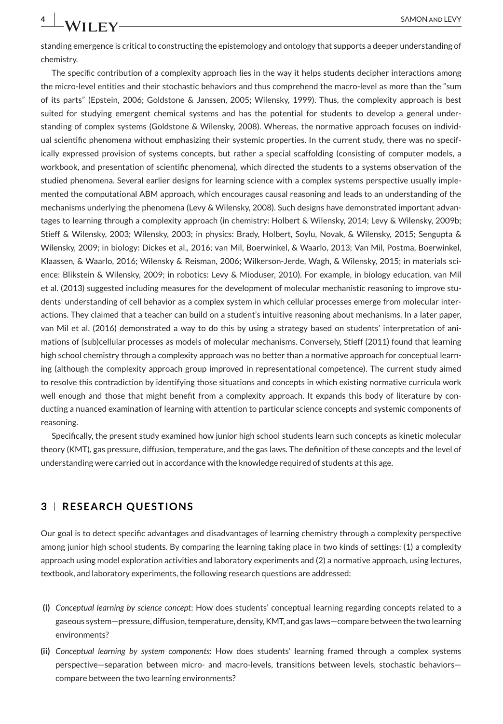standing emergence is critical to constructing the epistemology and ontology that supports a deeper understanding of chemistry.

The specific contribution of a complexity approach lies in the way it helps students decipher interactions among the micro-level entities and their stochastic behaviors and thus comprehend the macro-level as more than the "sum of its parts" (Epstein, 2006; Goldstone & Janssen, 2005; Wilensky, 1999). Thus, the complexity approach is best suited for studying emergent chemical systems and has the potential for students to develop a general understanding of complex systems (Goldstone & Wilensky, 2008). Whereas, the normative approach focuses on individual scientific phenomena without emphasizing their systemic properties. In the current study, there was no specifically expressed provision of systems concepts, but rather a special scaffolding (consisting of computer models, a workbook, and presentation of scientific phenomena), which directed the students to a systems observation of the studied phenomena. Several earlier designs for learning science with a complex systems perspective usually implemented the computational ABM approach, which encourages causal reasoning and leads to an understanding of the mechanisms underlying the phenomena (Levy & Wilensky, 2008). Such designs have demonstrated important advantages to learning through a complexity approach (in chemistry: Holbert & Wilensky, 2014; Levy & Wilensky, 2009b; Stieff & Wilensky, 2003; Wilensky, 2003; in physics: Brady, Holbert, Soylu, Novak, & Wilensky, 2015; Sengupta & Wilensky, 2009; in biology: Dickes et al., 2016; van Mil, Boerwinkel, & Waarlo, 2013; Van Mil, Postma, Boerwinkel, Klaassen, & Waarlo, 2016; Wilensky & Reisman, 2006; Wilkerson-Jerde, Wagh, & Wilensky, 2015; in materials science: Blikstein & Wilensky, 2009; in robotics: Levy & Mioduser, 2010). For example, in biology education, van Mil et al. (2013) suggested including measures for the development of molecular mechanistic reasoning to improve students' understanding of cell behavior as a complex system in which cellular processes emerge from molecular interactions. They claimed that a teacher can build on a student's intuitive reasoning about mechanisms. In a later paper, van Mil et al. (2016) demonstrated a way to do this by using a strategy based on students' interpretation of animations of (sub)cellular processes as models of molecular mechanisms. Conversely, Stieff (2011) found that learning high school chemistry through a complexity approach was no better than a normative approach for conceptual learning (although the complexity approach group improved in representational competence). The current study aimed to resolve this contradiction by identifying those situations and concepts in which existing normative curricula work well enough and those that might benefit from a complexity approach. It expands this body of literature by conducting a nuanced examination of learning with attention to particular science concepts and systemic components of reasoning.

Specifically, the present study examined how junior high school students learn such concepts as kinetic molecular theory (KMT), gas pressure, diffusion, temperature, and the gas laws. The definition of these concepts and the level of understanding were carried out in accordance with the knowledge required of students at this age.

# **3 RESEARCH QUESTIONS**

Our goal is to detect specific advantages and disadvantages of learning chemistry through a complexity perspective among junior high school students. By comparing the learning taking place in two kinds of settings: (1) a complexity approach using model exploration activities and laboratory experiments and (2) a normative approach, using lectures, textbook, and laboratory experiments, the following research questions are addressed:

- **(i)** *Conceptual learning by science concept*: How does students' conceptual learning regarding concepts related to a gaseous system—pressure, diffusion, temperature, density, KMT, and gas laws—compare between the two learning environments?
- **(ii)** *Conceptual learning by system components*: How does students' learning framed through a complex systems perspective—separation between micro- and macro-levels, transitions between levels, stochastic behaviors compare between the two learning environments?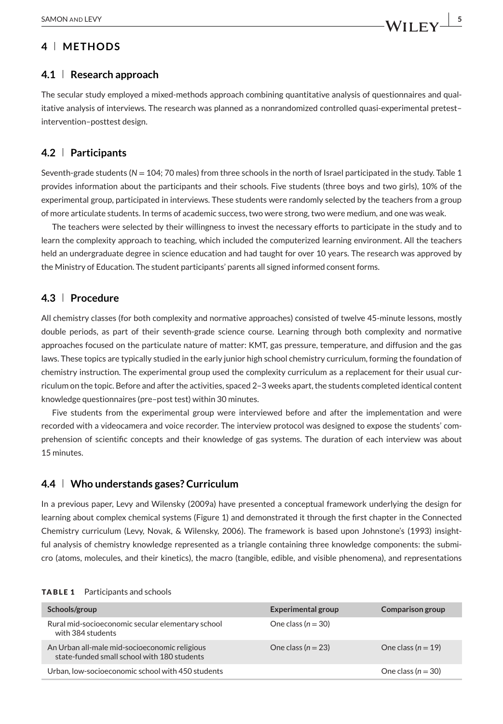# **4 METHODS**

# **4.1 Research approach**

The secular study employed a mixed-methods approach combining quantitative analysis of questionnaires and qualitative analysis of interviews. The research was planned as a nonrandomized controlled quasi-experimental pretest– intervention–posttest design.

# **4.2 Participants**

Seventh-grade students (*N* = 104; 70 males) from three schools in the north of Israel participated in the study. Table 1 provides information about the participants and their schools. Five students (three boys and two girls), 10% of the experimental group, participated in interviews. These students were randomly selected by the teachers from a group of more articulate students. In terms of academic success, two were strong, two were medium, and one was weak.

The teachers were selected by their willingness to invest the necessary efforts to participate in the study and to learn the complexity approach to teaching, which included the computerized learning environment. All the teachers held an undergraduate degree in science education and had taught for over 10 years. The research was approved by the Ministry of Education. The student participants' parents all signed informed consent forms.

# **4.3 Procedure**

All chemistry classes (for both complexity and normative approaches) consisted of twelve 45-minute lessons, mostly double periods, as part of their seventh-grade science course. Learning through both complexity and normative approaches focused on the particulate nature of matter: KMT, gas pressure, temperature, and diffusion and the gas laws. These topics are typically studied in the early junior high school chemistry curriculum, forming the foundation of chemistry instruction. The experimental group used the complexity curriculum as a replacement for their usual curriculum on the topic. Before and after the activities, spaced 2–3 weeks apart, the students completed identical content knowledge questionnaires (pre–post test) within 30 minutes.

Five students from the experimental group were interviewed before and after the implementation and were recorded with a videocamera and voice recorder. The interview protocol was designed to expose the students' comprehension of scientific concepts and their knowledge of gas systems. The duration of each interview was about 15 minutes.

## **4.4 Who understands gases? Curriculum**

In a previous paper, Levy and Wilensky (2009a) have presented a conceptual framework underlying the design for learning about complex chemical systems (Figure 1) and demonstrated it through the first chapter in the Connected Chemistry curriculum (Levy, Novak, & Wilensky, 2006). The framework is based upon Johnstone's (1993) insightful analysis of chemistry knowledge represented as a triangle containing three knowledge components: the submicro (atoms, molecules, and their kinetics), the macro (tangible, edible, and visible phenomena), and representations

| Schools/group                                                                                | Experimental group   | Comparison group     |
|----------------------------------------------------------------------------------------------|----------------------|----------------------|
| Rural mid-socioeconomic secular elementary school<br>with 384 students                       | One class $(n = 30)$ |                      |
| An Urban all-male mid-socioeconomic religious<br>state-funded small school with 180 students | One class $(n = 23)$ | One class $(n = 19)$ |
| Urban, low-socioeconomic school with 450 students                                            |                      | One class $(n = 30)$ |

#### TABLE 1 Participants and schools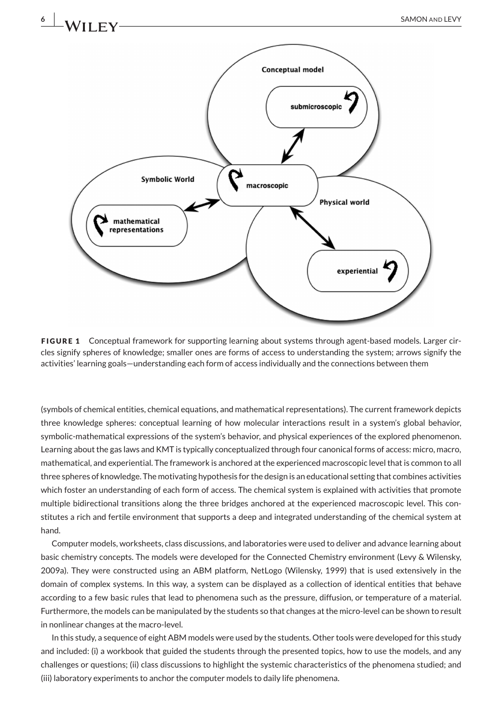

FIGURE 1 Conceptual framework for supporting learning about systems through agent-based models. Larger circles signify spheres of knowledge; smaller ones are forms of access to understanding the system; arrows signify the activities' learning goals—understanding each form of access individually and the connections between them

(symbols of chemical entities, chemical equations, and mathematical representations). The current framework depicts three knowledge spheres: conceptual learning of how molecular interactions result in a system's global behavior, symbolic-mathematical expressions of the system's behavior, and physical experiences of the explored phenomenon. Learning about the gas laws and KMT is typically conceptualized through four canonical forms of access: micro, macro, mathematical, and experiential. The framework is anchored at the experienced macroscopic level that is common to all three spheres of knowledge. The motivating hypothesis for the design is an educational setting that combines activities which foster an understanding of each form of access. The chemical system is explained with activities that promote multiple bidirectional transitions along the three bridges anchored at the experienced macroscopic level. This constitutes a rich and fertile environment that supports a deep and integrated understanding of the chemical system at hand.

Computer models, worksheets, class discussions, and laboratories were used to deliver and advance learning about basic chemistry concepts. The models were developed for the Connected Chemistry environment (Levy & Wilensky, 2009a). They were constructed using an ABM platform, NetLogo (Wilensky, 1999) that is used extensively in the domain of complex systems. In this way, a system can be displayed as a collection of identical entities that behave according to a few basic rules that lead to phenomena such as the pressure, diffusion, or temperature of a material. Furthermore, the models can be manipulated by the students so that changes at the micro-level can be shown to result in nonlinear changes at the macro-level.

In this study, a sequence of eight ABM models were used by the students. Other tools were developed for this study and included: (i) a workbook that guided the students through the presented topics, how to use the models, and any challenges or questions; (ii) class discussions to highlight the systemic characteristics of the phenomena studied; and (iii) laboratory experiments to anchor the computer models to daily life phenomena.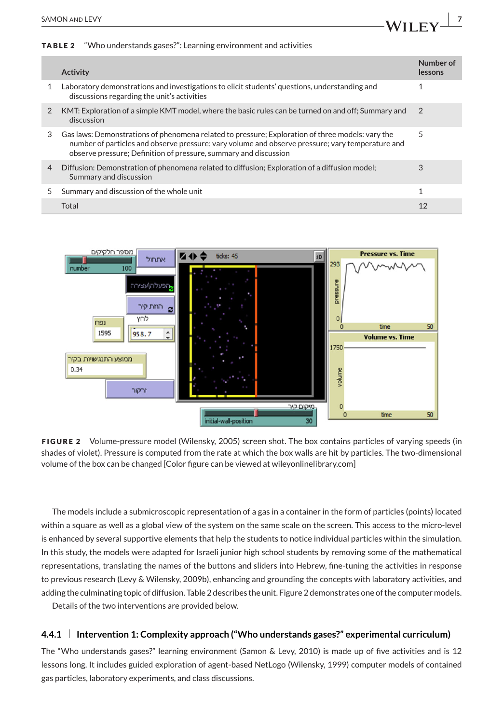#### TABLE 2 "Who understands gases?": Learning environment and activities

|                | <b>Activity</b>                                                                                                                                                                                                                                                          | Number of<br>lessons |
|----------------|--------------------------------------------------------------------------------------------------------------------------------------------------------------------------------------------------------------------------------------------------------------------------|----------------------|
| 1              | Laboratory demonstrations and investigations to elicit students' questions, understanding and<br>discussions regarding the unit's activities                                                                                                                             |                      |
| 2              | KMT: Exploration of a simple KMT model, where the basic rules can be turned on and off; Summary and<br>discussion                                                                                                                                                        | $\overline{2}$       |
| 3              | Gas laws: Demonstrations of phenomena related to pressure; Exploration of three models: vary the<br>number of particles and observe pressure; vary volume and observe pressure; vary temperature and<br>observe pressure; Definition of pressure, summary and discussion | 5                    |
| $\overline{4}$ | Diffusion: Demonstration of phenomena related to diffusion; Exploration of a diffusion model;<br>Summary and discussion                                                                                                                                                  | 3                    |
| 5              | Summary and discussion of the whole unit                                                                                                                                                                                                                                 | 1                    |
|                | Total                                                                                                                                                                                                                                                                    | 12                   |



FIGURE 2 Volume-pressure model (Wilensky, 2005) screen shot. The box contains particles of varying speeds (in shades of violet). Pressure is computed from the rate at which the box walls are hit by particles. The two-dimensional volume of the box can be changed [Color figure can be viewed at wileyonlinelibrary.com]

The models include a submicroscopic representation of a gas in a container in the form of particles (points) located within a square as well as a global view of the system on the same scale on the screen. This access to the micro-level is enhanced by several supportive elements that help the students to notice individual particles within the simulation. In this study, the models were adapted for Israeli junior high school students by removing some of the mathematical representations, translating the names of the buttons and sliders into Hebrew, fine-tuning the activities in response to previous research (Levy & Wilensky, 2009b), enhancing and grounding the concepts with laboratory activities, and adding the culminating topic of diffusion. Table 2 describes the unit. Figure 2 demonstrates one of the computer models.

Details of the two interventions are provided below.

## **4.4.1 Intervention 1: Complexity approach ("Who understands gases?" experimental curriculum)**

The "Who understands gases?" learning environment (Samon & Levy, 2010) is made up of five activities and is 12 lessons long. It includes guided exploration of agent-based NetLogo (Wilensky, 1999) computer models of contained gas particles, laboratory experiments, and class discussions.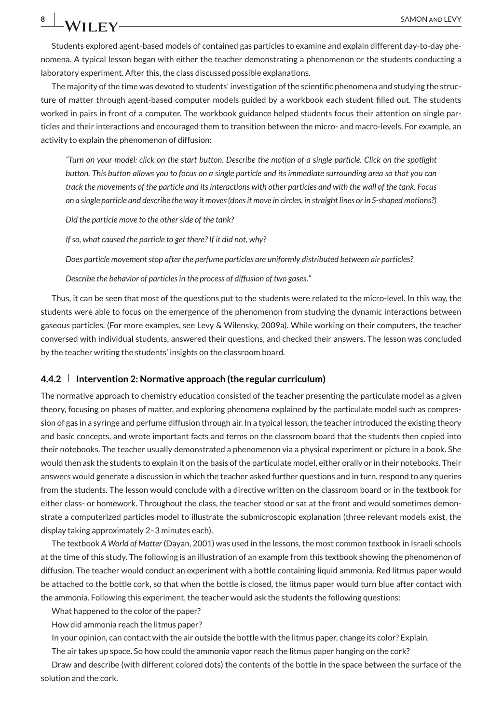Students explored agent-based models of contained gas particles to examine and explain different day-to-day phenomena. A typical lesson began with either the teacher demonstrating a phenomenon or the students conducting a laboratory experiment. After this, the class discussed possible explanations.

The majority of the time was devoted to students' investigation of the scientific phenomena and studying the structure of matter through agent-based computer models guided by a workbook each student filled out. The students worked in pairs in front of a computer. The workbook guidance helped students focus their attention on single particles and their interactions and encouraged them to transition between the micro- and macro-levels. For example, an activity to explain the phenomenon of diffusion:

*"Turn on your model: click on the start button. Describe the motion of a single particle. Click on the spotlight button. This button allows you to focus on a single particle and its immediate surrounding area so that you can track the movements of the particle and its interactions with other particles and with the wall of the tank. Focus on a single particle and describe the way it moves (does it move in circles, in straight lines or in S-shaped motions?)*

*Did the particle move to the other side of the tank?*

*If so, what caused the particle to get there? If it did not, why?*

*Does particle movement stop after the perfume particles are uniformly distributed between air particles?*

*Describe the behavior of particles in the process of diffusion of two gases."*

Thus, it can be seen that most of the questions put to the students were related to the micro-level. In this way, the students were able to focus on the emergence of the phenomenon from studying the dynamic interactions between gaseous particles. (For more examples, see Levy & Wilensky, 2009a). While working on their computers, the teacher conversed with individual students, answered their questions, and checked their answers. The lesson was concluded by the teacher writing the students' insights on the classroom board.

#### **4.4.2 Intervention 2: Normative approach (the regular curriculum)**

The normative approach to chemistry education consisted of the teacher presenting the particulate model as a given theory, focusing on phases of matter, and exploring phenomena explained by the particulate model such as compression of gas in a syringe and perfume diffusion through air. In a typical lesson, the teacher introduced the existing theory and basic concepts, and wrote important facts and terms on the classroom board that the students then copied into their notebooks. The teacher usually demonstrated a phenomenon via a physical experiment or picture in a book. She would then ask the students to explain it on the basis of the particulate model, either orally or in their notebooks. Their answers would generate a discussion in which the teacher asked further questions and in turn, respond to any queries from the students. The lesson would conclude with a directive written on the classroom board or in the textbook for either class- or homework. Throughout the class, the teacher stood or sat at the front and would sometimes demonstrate a computerized particles model to illustrate the submicroscopic explanation (three relevant models exist, the display taking approximately 2–3 minutes each).

The textbook *A World of Matter* (Dayan, 2001) was used in the lessons, the most common textbook in Israeli schools at the time of this study. The following is an illustration of an example from this textbook showing the phenomenon of diffusion. The teacher would conduct an experiment with a bottle containing liquid ammonia. Red litmus paper would be attached to the bottle cork, so that when the bottle is closed, the litmus paper would turn blue after contact with the ammonia. Following this experiment, the teacher would ask the students the following questions:

What happened to the color of the paper?

How did ammonia reach the litmus paper?

In your opinion, can contact with the air outside the bottle with the litmus paper, change its color? Explain.

The air takes up space. So how could the ammonia vapor reach the litmus paper hanging on the cork?

Draw and describe (with different colored dots) the contents of the bottle in the space between the surface of the solution and the cork.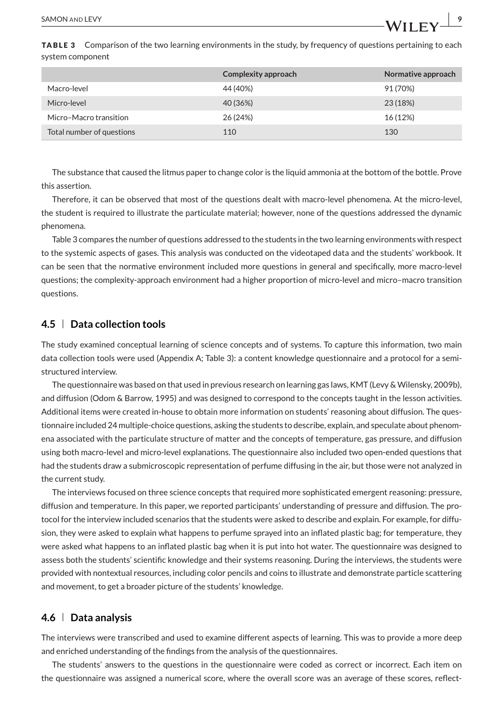TABLE 3 Comparison of the two learning environments in the study, by frequency of questions pertaining to each system component

|                           | Complexity approach | Normative approach |
|---------------------------|---------------------|--------------------|
| Macro-level               | 44 (40%)            | 91 (70%)           |
| Micro-level               | 40 (36%)            | 23 (18%)           |
| Micro-Macro transition    | 26 (24%)            | 16 (12%)           |
| Total number of questions | 110                 | 130                |

The substance that caused the litmus paper to change color is the liquid ammonia at the bottom of the bottle. Prove this assertion.

Therefore, it can be observed that most of the questions dealt with macro-level phenomena. At the micro-level, the student is required to illustrate the particulate material; however, none of the questions addressed the dynamic phenomena.

Table 3 compares the number of questions addressed to the students in the two learning environments with respect to the systemic aspects of gases. This analysis was conducted on the videotaped data and the students' workbook. It can be seen that the normative environment included more questions in general and specifically, more macro-level questions; the complexity-approach environment had a higher proportion of micro-level and micro–macro transition questions.

## **4.5 Data collection tools**

The study examined conceptual learning of science concepts and of systems. To capture this information, two main data collection tools were used (Appendix A; Table 3): a content knowledge questionnaire and a protocol for a semistructured interview.

The questionnaire was based on that used in previous research on learning gas laws, KMT (Levy & Wilensky, 2009b), and diffusion (Odom & Barrow, 1995) and was designed to correspond to the concepts taught in the lesson activities. Additional items were created in-house to obtain more information on students' reasoning about diffusion. The questionnaire included 24 multiple-choice questions, asking the students to describe, explain, and speculate about phenomena associated with the particulate structure of matter and the concepts of temperature, gas pressure, and diffusion using both macro-level and micro-level explanations. The questionnaire also included two open-ended questions that had the students draw a submicroscopic representation of perfume diffusing in the air, but those were not analyzed in the current study.

The interviews focused on three science concepts that required more sophisticated emergent reasoning: pressure, diffusion and temperature. In this paper, we reported participants' understanding of pressure and diffusion. The protocol for the interview included scenarios that the students were asked to describe and explain. For example, for diffusion, they were asked to explain what happens to perfume sprayed into an inflated plastic bag; for temperature, they were asked what happens to an inflated plastic bag when it is put into hot water. The questionnaire was designed to assess both the students' scientific knowledge and their systems reasoning. During the interviews, the students were provided with nontextual resources, including color pencils and coins to illustrate and demonstrate particle scattering and movement, to get a broader picture of the students' knowledge.

#### **4.6 Data analysis**

The interviews were transcribed and used to examine different aspects of learning. This was to provide a more deep and enriched understanding of the findings from the analysis of the questionnaires.

The students' answers to the questions in the questionnaire were coded as correct or incorrect. Each item on the questionnaire was assigned a numerical score, where the overall score was an average of these scores, reflect-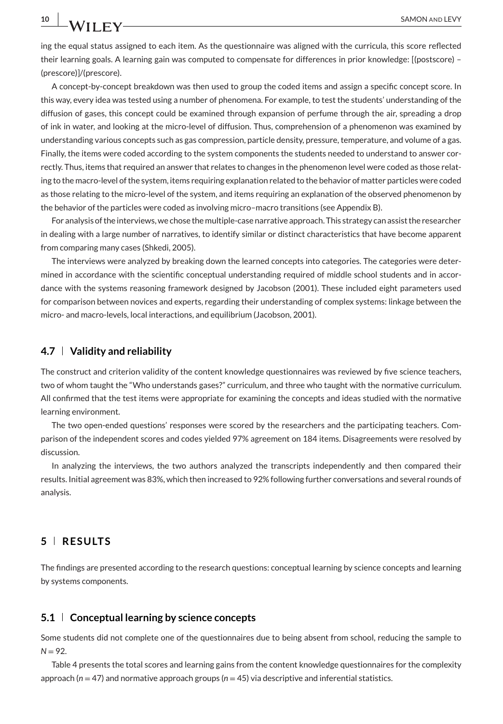ing the equal status assigned to each item. As the questionnaire was aligned with the curricula, this score reflected their learning goals. A learning gain was computed to compensate for differences in prior knowledge: [(postscore) – (prescore)]/(prescore).

A concept-by-concept breakdown was then used to group the coded items and assign a specific concept score. In this way, every idea was tested using a number of phenomena. For example, to test the students' understanding of the diffusion of gases, this concept could be examined through expansion of perfume through the air, spreading a drop of ink in water, and looking at the micro-level of diffusion. Thus, comprehension of a phenomenon was examined by understanding various concepts such as gas compression, particle density, pressure, temperature, and volume of a gas. Finally, the items were coded according to the system components the students needed to understand to answer correctly. Thus, items that required an answer that relates to changes in the phenomenon level were coded as those relating to the macro-level of the system, items requiring explanation related to the behavior of matter particles were coded as those relating to the micro-level of the system, and items requiring an explanation of the observed phenomenon by the behavior of the particles were coded as involving micro–macro transitions (see Appendix B).

For analysis of the interviews, we chose the multiple-case narrative approach. This strategy can assist the researcher in dealing with a large number of narratives, to identify similar or distinct characteristics that have become apparent from comparing many cases (Shkedi, 2005).

The interviews were analyzed by breaking down the learned concepts into categories. The categories were determined in accordance with the scientific conceptual understanding required of middle school students and in accordance with the systems reasoning framework designed by Jacobson (2001). These included eight parameters used for comparison between novices and experts, regarding their understanding of complex systems: linkage between the micro- and macro-levels, local interactions, and equilibrium (Jacobson, 2001).

## **4.7 Validity and reliability**

The construct and criterion validity of the content knowledge questionnaires was reviewed by five science teachers, two of whom taught the "Who understands gases?" curriculum, and three who taught with the normative curriculum. All confirmed that the test items were appropriate for examining the concepts and ideas studied with the normative learning environment.

The two open-ended questions' responses were scored by the researchers and the participating teachers. Comparison of the independent scores and codes yielded 97% agreement on 184 items. Disagreements were resolved by discussion.

In analyzing the interviews, the two authors analyzed the transcripts independently and then compared their results. Initial agreement was 83%, which then increased to 92% following further conversations and several rounds of analysis.

# **5 RESULTS**

The findings are presented according to the research questions: conceptual learning by science concepts and learning by systems components.

#### **5.1 Conceptual learning by science concepts**

Some students did not complete one of the questionnaires due to being absent from school, reducing the sample to *N* = 92.

Table 4 presents the total scores and learning gains from the content knowledge questionnaires for the complexity approach ( $n = 47$ ) and normative approach groups ( $n = 45$ ) via descriptive and inferential statistics.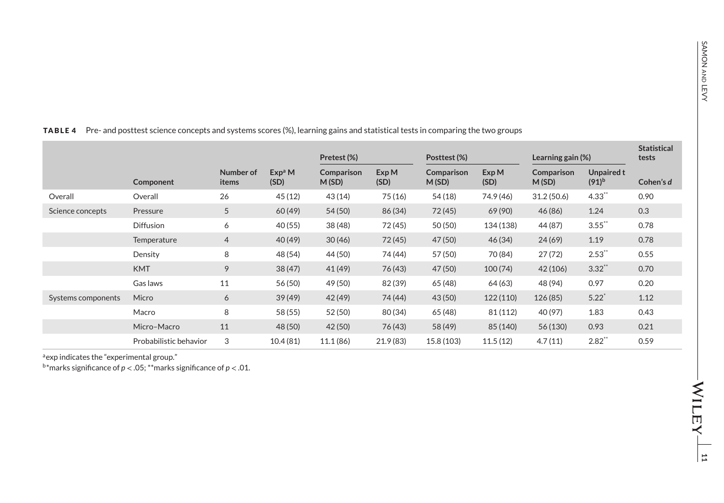| Component<br>Overall<br>Overall<br>Science concepts<br>Pressure<br>Diffusion | Number of<br>items<br>26<br>$\sqrt{5}$ | Exp <sup>a</sup> M<br>(SD)<br>45(12) | Comparison<br>M(SD)<br>43(14) | Exp <sub>M</sub><br>(SD)<br>75(16) | Comparison<br>M(SD)<br>54(18) | Exp <sub>M</sub><br>(SD) | Comparison<br>M(SD) | Unpaired t<br>$(91)^{b}$ |           |
|------------------------------------------------------------------------------|----------------------------------------|--------------------------------------|-------------------------------|------------------------------------|-------------------------------|--------------------------|---------------------|--------------------------|-----------|
|                                                                              |                                        |                                      |                               |                                    |                               |                          |                     |                          | Cohen's d |
|                                                                              |                                        |                                      |                               |                                    |                               | 74.9 (46)                | 31.2(50.6)          | $4.33$ <sup>**</sup>     | 0.90      |
|                                                                              |                                        | 60(49)                               | 54 (50)                       | 86 (34)                            | 72(45)                        | 69 (90)                  | 46 (86)             | 1.24                     | 0.3       |
|                                                                              | 6                                      | 40(55)                               | 38 (48)                       | 72 (45)                            | 50 (50)                       | 134 (138)                | 44 (87)             | $3.55$ **                | 0.78      |
| Temperature                                                                  | $\overline{4}$                         | 40(49)                               | 30(46)                        | 72 (45)                            | 47 (50)                       | 46 (34)                  | 24(69)              | 1.19                     | 0.78      |
| Density                                                                      | 8                                      | 48 (54)                              | 44 (50)                       | 74 (44)                            | 57 (50)                       | 70 (84)                  | 27(72)              | $2.53**$                 | 0.55      |
| <b>KMT</b>                                                                   | 9                                      | 38 (47)                              | 41(49)                        | 76 (43)                            | 47 (50)                       | 100(74)                  | 42 (106)            | $3.32**$                 | 0.70      |
| Gas laws                                                                     | 11                                     | 56 (50)                              | 49 (50)                       | 82 (39)                            | 65 (48)                       | 64(63)                   | 48 (94)             | 0.97                     | 0.20      |
| Micro<br>Systems components                                                  | 6                                      | 39(49)                               | 42(49)                        | 74 (44)                            | 43 (50)                       | 122(110)                 | 126 (85)            | $5.22*$                  | 1.12      |
| Macro                                                                        | 8                                      | 58 (55)                              | 52 (50)                       | 80 (34)                            | 65 (48)                       | 81 (112)                 | 40 (97)             | 1.83                     | 0.43      |
| Micro-Macro                                                                  | 11                                     | 48 (50)                              | 42 (50)                       | 76 (43)                            | 58 (49)                       | 85 (140)                 | 56 (130)            | 0.93                     | 0.21      |
|                                                                              | 3<br>Probabilistic behavior            | 10.4(81)                             | 11.1 (86)                     | 21.9(83)                           | 15.8 (103)                    | 11.5(12)                 | 4.7(11)             | $2.82**$                 | 0.59      |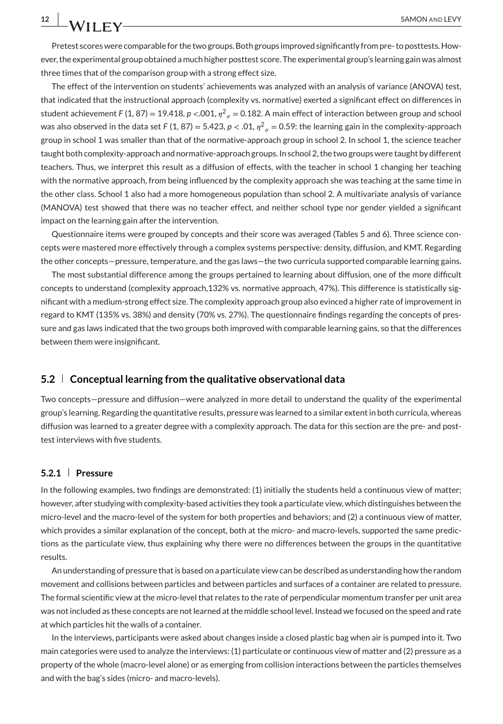Pretest scores were comparable for the two groups. Both groups improved significantly from pre- to posttests. However, the experimental group obtained a much higher posttest score. The experimental group's learning gain was almost three times that of the comparison group with a strong effect size.

The effect of the intervention on students' achievements was analyzed with an analysis of variance (ANOVA) test, that indicated that the instructional approach (complexity vs. normative) exerted a significant effect on differences in student achievement *F* (1, 87) = 19.418,  $p < 0.001$ ,  $\eta^2\$ sub>s</sub> = 0.182. A main effect of interaction between group and school was also observed in the data set *F* (1, 87) = 5.423, *p* < .01,  $\eta^2_{\sigma}$  = 0.59: the learning gain in the complexity-approach group in school 1 was smaller than that of the normative-approach group in school 2. In school 1, the science teacher taught both complexity-approach and normative-approach groups. In school 2, the two groups were taught by different teachers. Thus, we interpret this result as a diffusion of effects, with the teacher in school 1 changing her teaching with the normative approach, from being influenced by the complexity approach she was teaching at the same time in the other class. School 1 also had a more homogeneous population than school 2. A multivariate analysis of variance (MANOVA) test showed that there was no teacher effect, and neither school type nor gender yielded a significant impact on the learning gain after the intervention.

Questionnaire items were grouped by concepts and their score was averaged (Tables 5 and 6). Three science concepts were mastered more effectively through a complex systems perspective: density, diffusion, and KMT. Regarding the other concepts—pressure, temperature, and the gas laws—the two curricula supported comparable learning gains.

The most substantial difference among the groups pertained to learning about diffusion, one of the more difficult concepts to understand (complexity approach,132% vs. normative approach, 47%). This difference is statistically significant with a medium-strong effect size. The complexity approach group also evinced a higher rate of improvement in regard to KMT (135% vs. 38%) and density (70% vs. 27%). The questionnaire findings regarding the concepts of pressure and gas laws indicated that the two groups both improved with comparable learning gains, so that the differences between them were insignificant.

#### **5.2 Conceptual learning from the qualitative observational data**

Two concepts—pressure and diffusion—were analyzed in more detail to understand the quality of the experimental group's learning. Regarding the quantitative results, pressure was learned to a similar extent in both curricula, whereas diffusion was learned to a greater degree with a complexity approach. The data for this section are the pre- and posttest interviews with five students.

## **5.2.1 Pressure**

In the following examples, two findings are demonstrated: (1) initially the students held a continuous view of matter; however, after studying with complexity-based activities they took a particulate view, which distinguishes between the micro-level and the macro-level of the system for both properties and behaviors; and (2) a continuous view of matter, which provides a similar explanation of the concept, both at the micro- and macro-levels, supported the same predictions as the particulate view, thus explaining why there were no differences between the groups in the quantitative results.

An understanding of pressure that is based on a particulate view can be described as understanding how the random movement and collisions between particles and between particles and surfaces of a container are related to pressure. The formal scientific view at the micro-level that relates to the rate of perpendicular momentum transfer per unit area was not included as these concepts are not learned at the middle school level. Instead we focused on the speed and rate at which particles hit the walls of a container.

In the interviews, participants were asked about changes inside a closed plastic bag when air is pumped into it. Two main categories were used to analyze the interviews: (1) particulate or continuous view of matter and (2) pressure as a property of the whole (macro-level alone) or as emerging from collision interactions between the particles themselves and with the bag's sides (micro- and macro-levels).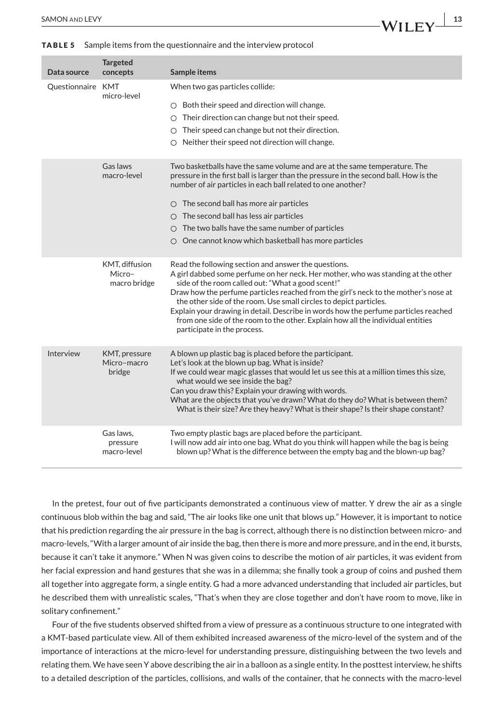TABLE 5 Sample items from the questionnaire and the interview protocol

| Data source                      | <b>Targeted</b><br>concepts              | Sample items                                                                                                                                                                                                                                                                                                                                                                                                                                                                                                                                                         |
|----------------------------------|------------------------------------------|----------------------------------------------------------------------------------------------------------------------------------------------------------------------------------------------------------------------------------------------------------------------------------------------------------------------------------------------------------------------------------------------------------------------------------------------------------------------------------------------------------------------------------------------------------------------|
| Questionnaire KMT<br>micro-level |                                          | When two gas particles collide:<br>$\circ$ Both their speed and direction will change.<br>$\bigcirc$ Their direction can change but not their speed.<br>$\circ$ Their speed can change but not their direction.<br>$\circ$ Neither their speed not direction will change.                                                                                                                                                                                                                                                                                            |
|                                  | Gas laws<br>macro-level                  | Two basketballs have the same volume and are at the same temperature. The<br>pressure in the first ball is larger than the pressure in the second ball. How is the<br>number of air particles in each ball related to one another?<br>$\circ$ The second ball has more air particles<br>$\circ$ The second ball has less air particles<br>$\circ$ The two balls have the same number of particles<br>$\circ$ One cannot know which basketball has more particles                                                                                                     |
|                                  | KMT, diffusion<br>Micro-<br>macro bridge | Read the following section and answer the questions.<br>A girl dabbed some perfume on her neck. Her mother, who was standing at the other<br>side of the room called out: "What a good scent!"<br>Draw how the perfume particles reached from the girl's neck to the mother's nose at<br>the other side of the room. Use small circles to depict particles.<br>Explain your drawing in detail. Describe in words how the perfume particles reached<br>from one side of the room to the other. Explain how all the individual entities<br>participate in the process. |
| Interview                        | KMT, pressure<br>Micro-macro<br>bridge   | A blown up plastic bag is placed before the participant.<br>Let's look at the blown up bag. What is inside?<br>If we could wear magic glasses that would let us see this at a million times this size,<br>what would we see inside the bag?<br>Can you draw this? Explain your drawing with words.<br>What are the objects that you've drawn? What do they do? What is between them?<br>What is their size? Are they heavy? What is their shape? Is their shape constant?                                                                                            |
|                                  | Gas laws,<br>pressure<br>macro-level     | Two empty plastic bags are placed before the participant.<br>I will now add air into one bag. What do you think will happen while the bag is being<br>blown up? What is the difference between the empty bag and the blown-up bag?                                                                                                                                                                                                                                                                                                                                   |

In the pretest, four out of five participants demonstrated a continuous view of matter. Y drew the air as a single continuous blob within the bag and said, "The air looks like one unit that blows up." However, it is important to notice that his prediction regarding the air pressure in the bag is correct, although there is no distinction between micro- and macro-levels, "With a larger amount of air inside the bag, then there is more and more pressure, and in the end, it bursts, because it can't take it anymore." When N was given coins to describe the motion of air particles, it was evident from her facial expression and hand gestures that she was in a dilemma; she finally took a group of coins and pushed them all together into aggregate form, a single entity. G had a more advanced understanding that included air particles, but he described them with unrealistic scales, "That's when they are close together and don't have room to move, like in solitary confinement."

Four of the five students observed shifted from a view of pressure as a continuous structure to one integrated with a KMT-based particulate view. All of them exhibited increased awareness of the micro-level of the system and of the importance of interactions at the micro-level for understanding pressure, distinguishing between the two levels and relating them. We have seen Y above describing the air in a balloon as a single entity. In the posttest interview, he shifts to a detailed description of the particles, collisions, and walls of the container, that he connects with the macro-level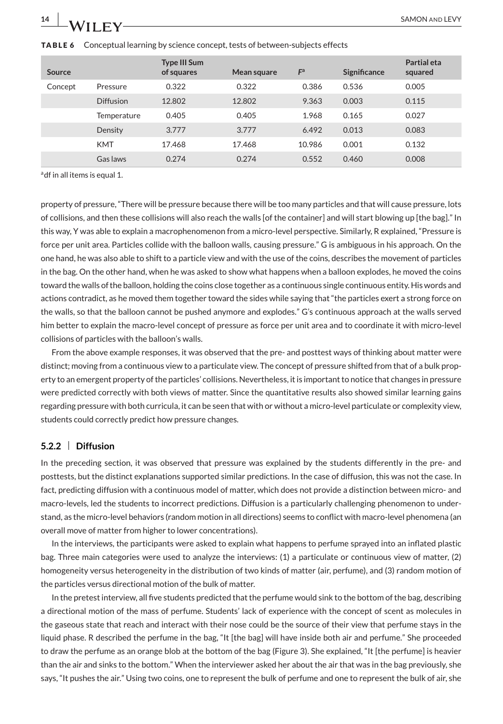| Source  |                  | <b>Type III Sum</b><br>of squares | Mean square | F <sup>a</sup> | Significance | Partial eta<br>squared |
|---------|------------------|-----------------------------------|-------------|----------------|--------------|------------------------|
| Concept | Pressure         | 0.322                             | 0.322       | 0.386          | 0.536        | 0.005                  |
|         | <b>Diffusion</b> | 12.802                            | 12.802      | 9.363          | 0.003        | 0.115                  |
|         | Temperature      | 0.405                             | 0.405       | 1.968          | 0.165        | 0.027                  |
|         | Density          | 3.777                             | 3.777       | 6.492          | 0.013        | 0.083                  |
|         | <b>KMT</b>       | 17.468                            | 17.468      | 10.986         | 0.001        | 0.132                  |
|         | Gas laws         | 0.274                             | 0.274       | 0.552          | 0.460        | 0.008                  |

TABLE 6 Conceptual learning by science concept, tests of between-subjects effects

<sup>a</sup>df in all items is equal 1.

property of pressure, "There will be pressure because there will be too many particles and that will cause pressure, lots of collisions, and then these collisions will also reach the walls [of the container] and will start blowing up [the bag]." In this way, Y was able to explain a macrophenomenon from a micro-level perspective. Similarly, R explained, "Pressure is force per unit area. Particles collide with the balloon walls, causing pressure." G is ambiguous in his approach. On the one hand, he was also able to shift to a particle view and with the use of the coins, describes the movement of particles in the bag. On the other hand, when he was asked to show what happens when a balloon explodes, he moved the coins toward the walls of the balloon, holding the coins close together as a continuous single continuous entity. His words and actions contradict, as he moved them together toward the sides while saying that "the particles exert a strong force on the walls, so that the balloon cannot be pushed anymore and explodes." G's continuous approach at the walls served him better to explain the macro-level concept of pressure as force per unit area and to coordinate it with micro-level collisions of particles with the balloon's walls.

From the above example responses, it was observed that the pre- and posttest ways of thinking about matter were distinct; moving from a continuous view to a particulate view. The concept of pressure shifted from that of a bulk property to an emergent property of the particles' collisions. Nevertheless, it is important to notice that changes in pressure were predicted correctly with both views of matter. Since the quantitative results also showed similar learning gains regarding pressure with both curricula, it can be seen that with or without a micro-level particulate or complexity view, students could correctly predict how pressure changes.

#### **5.2.2 Diffusion**

In the preceding section, it was observed that pressure was explained by the students differently in the pre- and posttests, but the distinct explanations supported similar predictions. In the case of diffusion, this was not the case. In fact, predicting diffusion with a continuous model of matter, which does not provide a distinction between micro- and macro-levels, led the students to incorrect predictions. Diffusion is a particularly challenging phenomenon to understand, as the micro-level behaviors (random motion in all directions) seems to conflict with macro-level phenomena (an overall move of matter from higher to lower concentrations).

In the interviews, the participants were asked to explain what happens to perfume sprayed into an inflated plastic bag. Three main categories were used to analyze the interviews: (1) a particulate or continuous view of matter, (2) homogeneity versus heterogeneity in the distribution of two kinds of matter (air, perfume), and (3) random motion of the particles versus directional motion of the bulk of matter.

In the pretest interview, all five students predicted that the perfume would sink to the bottom of the bag, describing a directional motion of the mass of perfume. Students' lack of experience with the concept of scent as molecules in the gaseous state that reach and interact with their nose could be the source of their view that perfume stays in the liquid phase. R described the perfume in the bag, "It [the bag] will have inside both air and perfume." She proceeded to draw the perfume as an orange blob at the bottom of the bag (Figure 3). She explained, "It [the perfume] is heavier than the air and sinks to the bottom." When the interviewer asked her about the air that was in the bag previously, she says, "It pushes the air." Using two coins, one to represent the bulk of perfume and one to represent the bulk of air, she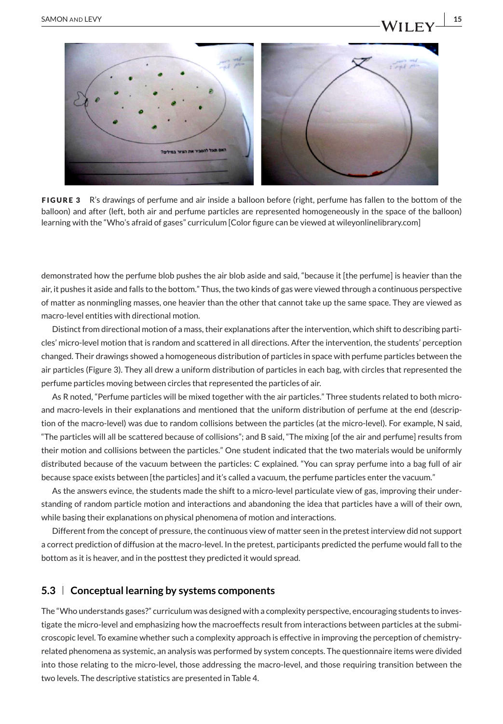

FIGURE 3 R's drawings of perfume and air inside a balloon before (right, perfume has fallen to the bottom of the balloon) and after (left, both air and perfume particles are represented homogeneously in the space of the balloon) learning with the "Who's afraid of gases" curriculum [Color figure can be viewed at wileyonlinelibrary.com]

demonstrated how the perfume blob pushes the air blob aside and said, "because it [the perfume] is heavier than the air, it pushes it aside and falls to the bottom." Thus, the two kinds of gas were viewed through a continuous perspective of matter as nonmingling masses, one heavier than the other that cannot take up the same space. They are viewed as macro-level entities with directional motion.

Distinct from directional motion of a mass, their explanations after the intervention, which shift to describing particles' micro-level motion that is random and scattered in all directions. After the intervention, the students' perception changed. Their drawings showed a homogeneous distribution of particles in space with perfume particles between the air particles (Figure 3). They all drew a uniform distribution of particles in each bag, with circles that represented the perfume particles moving between circles that represented the particles of air.

As R noted, "Perfume particles will be mixed together with the air particles." Three students related to both microand macro-levels in their explanations and mentioned that the uniform distribution of perfume at the end (description of the macro-level) was due to random collisions between the particles (at the micro-level). For example, N said, "The particles will all be scattered because of collisions"; and B said, "The mixing [of the air and perfume] results from their motion and collisions between the particles." One student indicated that the two materials would be uniformly distributed because of the vacuum between the particles: C explained. "You can spray perfume into a bag full of air because space exists between [the particles] and it's called a vacuum, the perfume particles enter the vacuum."

As the answers evince, the students made the shift to a micro-level particulate view of gas, improving their understanding of random particle motion and interactions and abandoning the idea that particles have a will of their own, while basing their explanations on physical phenomena of motion and interactions.

Different from the concept of pressure, the continuous view of matter seen in the pretest interview did not support a correct prediction of diffusion at the macro-level. In the pretest, participants predicted the perfume would fall to the bottom as it is heaver, and in the posttest they predicted it would spread.

#### **5.3 Conceptual learning by systems components**

The "Who understands gases?" curriculum was designed with a complexity perspective, encouraging students to investigate the micro-level and emphasizing how the macroeffects result from interactions between particles at the submicroscopic level. To examine whether such a complexity approach is effective in improving the perception of chemistryrelated phenomena as systemic, an analysis was performed by system concepts. The questionnaire items were divided into those relating to the micro-level, those addressing the macro-level, and those requiring transition between the two levels. The descriptive statistics are presented in Table 4.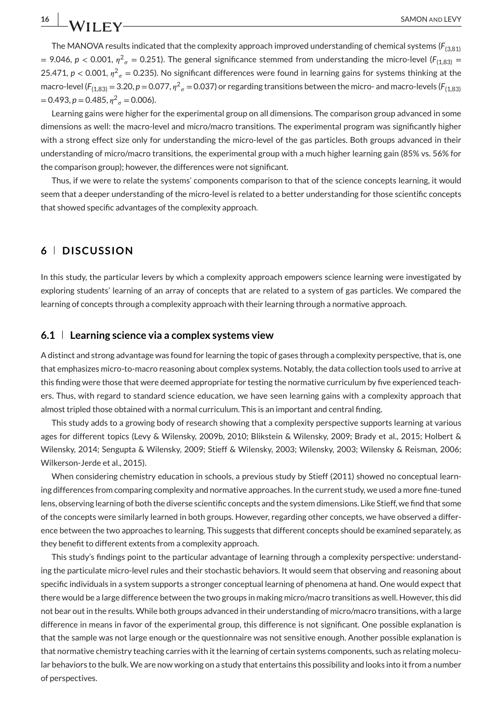The MANOVA results indicated that the complexity approach improved understanding of chemical systems ( $F_{(3,81)}$ )  $= 9.046$ ,  $p < 0.001$ ,  $\eta^2_{\sigma} = 0.251$ ). The general significance stemmed from understanding the micro-level ( $F_{(1,83)} =$ 25.471,  $p < 0.001$ ,  $\eta^2\textsubscript{\sigma} = 0.235$ ). No significant differences were found in learning gains for systems thinking at the macro-level ( $F_{(1,83)}$  = 3.20,  $p$  = 0.077,  $\eta^2$   $_{\sigma}$  = 0.037) or regarding transitions between the micro- and macro-levels ( $F_{(1,83)}$  $= 0.493, p = 0.485, \eta^2_{\sigma} = 0.006$ ).

Learning gains were higher for the experimental group on all dimensions. The comparison group advanced in some dimensions as well: the macro-level and micro/macro transitions. The experimental program was significantly higher with a strong effect size only for understanding the micro-level of the gas particles. Both groups advanced in their understanding of micro/macro transitions, the experimental group with a much higher learning gain (85% vs. 56% for the comparison group); however, the differences were not significant.

Thus, if we were to relate the systems' components comparison to that of the science concepts learning, it would seem that a deeper understanding of the micro-level is related to a better understanding for those scientific concepts that showed specific advantages of the complexity approach.

# **6 DISCUSSION**

In this study, the particular levers by which a complexity approach empowers science learning were investigated by exploring students' learning of an array of concepts that are related to a system of gas particles. We compared the learning of concepts through a complexity approach with their learning through a normative approach.

#### **6.1 Learning science via a complex systems view**

A distinct and strong advantage was found for learning the topic of gases through a complexity perspective, that is, one that emphasizes micro-to-macro reasoning about complex systems. Notably, the data collection tools used to arrive at this finding were those that were deemed appropriate for testing the normative curriculum by five experienced teachers. Thus, with regard to standard science education, we have seen learning gains with a complexity approach that almost tripled those obtained with a normal curriculum. This is an important and central finding.

This study adds to a growing body of research showing that a complexity perspective supports learning at various ages for different topics (Levy & Wilensky, 2009b, 2010; Blikstein & Wilensky, 2009; Brady et al., 2015; Holbert & Wilensky, 2014; Sengupta & Wilensky, 2009; Stieff & Wilensky, 2003; Wilensky, 2003; Wilensky & Reisman, 2006; Wilkerson-Jerde et al., 2015).

When considering chemistry education in schools, a previous study by Stieff (2011) showed no conceptual learning differences from comparing complexity and normative approaches. In the current study, we used a more fine-tuned lens, observing learning of both the diverse scientific concepts and the system dimensions. Like Stieff, we find that some of the concepts were similarly learned in both groups. However, regarding other concepts, we have observed a difference between the two approaches to learning. This suggests that different concepts should be examined separately, as they benefit to different extents from a complexity approach.

This study's findings point to the particular advantage of learning through a complexity perspective: understanding the particulate micro-level rules and their stochastic behaviors. It would seem that observing and reasoning about specific individuals in a system supports a stronger conceptual learning of phenomena at hand. One would expect that there would be a large difference between the two groups in making micro/macro transitions as well. However, this did not bear out in the results. While both groups advanced in their understanding of micro/macro transitions, with a large difference in means in favor of the experimental group, this difference is not significant. One possible explanation is that the sample was not large enough or the questionnaire was not sensitive enough. Another possible explanation is that normative chemistry teaching carries with it the learning of certain systems components, such as relating molecular behaviors to the bulk. We are now working on a study that entertains this possibility and looks into it from a number of perspectives.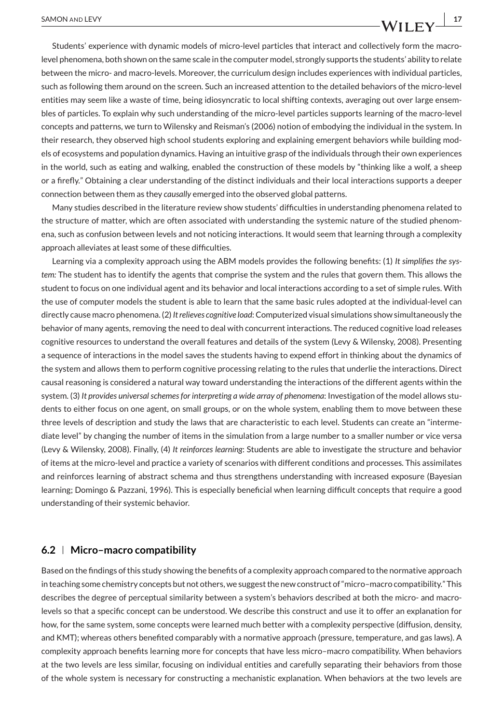Students' experience with dynamic models of micro-level particles that interact and collectively form the macrolevel phenomena, both shown on the same scale in the computer model, strongly supports the students' ability to relate between the micro- and macro-levels. Moreover, the curriculum design includes experiences with individual particles, such as following them around on the screen. Such an increased attention to the detailed behaviors of the micro-level entities may seem like a waste of time, being idiosyncratic to local shifting contexts, averaging out over large ensembles of particles. To explain why such understanding of the micro-level particles supports learning of the macro-level concepts and patterns, we turn to Wilensky and Reisman's (2006) notion of embodying the individual in the system. In their research, they observed high school students exploring and explaining emergent behaviors while building models of ecosystems and population dynamics. Having an intuitive grasp of the individuals through their own experiences in the world, such as eating and walking, enabled the construction of these models by "thinking like a wolf, a sheep or a firefly." Obtaining a clear understanding of the distinct individuals and their local interactions supports a deeper connection between them as they *causally* emerged into the observed global patterns.

Many studies described in the literature review show students' difficulties in understanding phenomena related to the structure of matter, which are often associated with understanding the systemic nature of the studied phenomena, such as confusion between levels and not noticing interactions. It would seem that learning through a complexity approach alleviates at least some of these difficulties.

Learning via a complexity approach using the ABM models provides the following benefits: (1) *It simplifies the system:* The student has to identify the agents that comprise the system and the rules that govern them. This allows the student to focus on one individual agent and its behavior and local interactions according to a set of simple rules. With the use of computer models the student is able to learn that the same basic rules adopted at the individual-level can directly cause macro phenomena. (2) *It relieves cognitive load*: Computerized visual simulations show simultaneously the behavior of many agents, removing the need to deal with concurrent interactions. The reduced cognitive load releases cognitive resources to understand the overall features and details of the system (Levy & Wilensky, 2008). Presenting a sequence of interactions in the model saves the students having to expend effort in thinking about the dynamics of the system and allows them to perform cognitive processing relating to the rules that underlie the interactions. Direct causal reasoning is considered a natural way toward understanding the interactions of the different agents within the system. (3) *It provides universal schemes for interpreting a wide array of phenomena*: Investigation of the model allows students to either focus on one agent, on small groups, or on the whole system, enabling them to move between these three levels of description and study the laws that are characteristic to each level. Students can create an "intermediate level" by changing the number of items in the simulation from a large number to a smaller number or vice versa (Levy & Wilensky, 2008). Finally, (4) *It reinforces learning*: Students are able to investigate the structure and behavior of items at the micro-level and practice a variety of scenarios with different conditions and processes. This assimilates and reinforces learning of abstract schema and thus strengthens understanding with increased exposure (Bayesian learning; Domingo & Pazzani, 1996). This is especially beneficial when learning difficult concepts that require a good understanding of their systemic behavior.

#### **6.2 Micro–macro compatibility**

Based on the findings of this study showing the benefits of a complexity approach compared to the normative approach in teaching some chemistry concepts but not others, we suggest the new construct of "micro–macro compatibility." This describes the degree of perceptual similarity between a system's behaviors described at both the micro- and macrolevels so that a specific concept can be understood. We describe this construct and use it to offer an explanation for how, for the same system, some concepts were learned much better with a complexity perspective (diffusion, density, and KMT); whereas others benefited comparably with a normative approach (pressure, temperature, and gas laws). A complexity approach benefits learning more for concepts that have less micro–macro compatibility. When behaviors at the two levels are less similar, focusing on individual entities and carefully separating their behaviors from those of the whole system is necessary for constructing a mechanistic explanation. When behaviors at the two levels are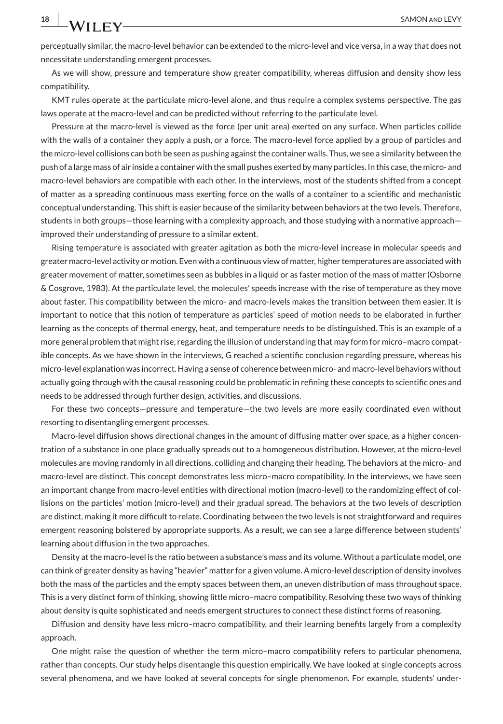perceptually similar, the macro-level behavior can be extended to the micro-level and vice versa, in a way that does not necessitate understanding emergent processes.

As we will show, pressure and temperature show greater compatibility, whereas diffusion and density show less compatibility.

KMT rules operate at the particulate micro-level alone, and thus require a complex systems perspective. The gas laws operate at the macro-level and can be predicted without referring to the particulate level.

Pressure at the macro-level is viewed as the force (per unit area) exerted on any surface. When particles collide with the walls of a container they apply a push, or a force. The macro-level force applied by a group of particles and the micro-level collisions can both be seen as pushing against the container walls. Thus, we see a similarity between the push of a large mass of air inside a container with the small pushes exerted by many particles. In this case, the micro- and macro-level behaviors are compatible with each other. In the interviews, most of the students shifted from a concept of matter as a spreading continuous mass exerting force on the walls of a container to a scientific and mechanistic conceptual understanding. This shift is easier because of the similarity between behaviors at the two levels. Therefore, students in both groups—those learning with a complexity approach, and those studying with a normative approach improved their understanding of pressure to a similar extent.

Rising temperature is associated with greater agitation as both the micro-level increase in molecular speeds and greater macro-level activity or motion. Even with a continuous view of matter, higher temperatures are associated with greater movement of matter, sometimes seen as bubbles in a liquid or as faster motion of the mass of matter (Osborne & Cosgrove, 1983). At the particulate level, the molecules' speeds increase with the rise of temperature as they move about faster. This compatibility between the micro- and macro-levels makes the transition between them easier. It is important to notice that this notion of temperature as particles' speed of motion needs to be elaborated in further learning as the concepts of thermal energy, heat, and temperature needs to be distinguished. This is an example of a more general problem that might rise, regarding the illusion of understanding that may form for micro–macro compatible concepts. As we have shown in the interviews, G reached a scientific conclusion regarding pressure, whereas his micro-level explanation was incorrect. Having a sense of coherence between micro- and macro-level behaviors without actually going through with the causal reasoning could be problematic in refining these concepts to scientific ones and needs to be addressed through further design, activities, and discussions.

For these two concepts—pressure and temperature—the two levels are more easily coordinated even without resorting to disentangling emergent processes.

Macro-level diffusion shows directional changes in the amount of diffusing matter over space, as a higher concentration of a substance in one place gradually spreads out to a homogeneous distribution. However, at the micro-level molecules are moving randomly in all directions, colliding and changing their heading. The behaviors at the micro- and macro-level are distinct. This concept demonstrates less micro–macro compatibility. In the interviews, we have seen an important change from macro-level entities with directional motion (macro-level) to the randomizing effect of collisions on the particles' motion (micro-level) and their gradual spread. The behaviors at the two levels of description are distinct, making it more difficult to relate. Coordinating between the two levels is not straightforward and requires emergent reasoning bolstered by appropriate supports. As a result, we can see a large difference between students' learning about diffusion in the two approaches.

Density at the macro-level is the ratio between a substance's mass and its volume. Without a particulate model, one can think of greater density as having "heavier" matter for a given volume. A micro-level description of density involves both the mass of the particles and the empty spaces between them, an uneven distribution of mass throughout space. This is a very distinct form of thinking, showing little micro–macro compatibility. Resolving these two ways of thinking about density is quite sophisticated and needs emergent structures to connect these distinct forms of reasoning.

Diffusion and density have less micro–macro compatibility, and their learning benefits largely from a complexity approach.

One might raise the question of whether the term micro–macro compatibility refers to particular phenomena, rather than concepts. Our study helps disentangle this question empirically. We have looked at single concepts across several phenomena, and we have looked at several concepts for single phenomenon. For example, students' under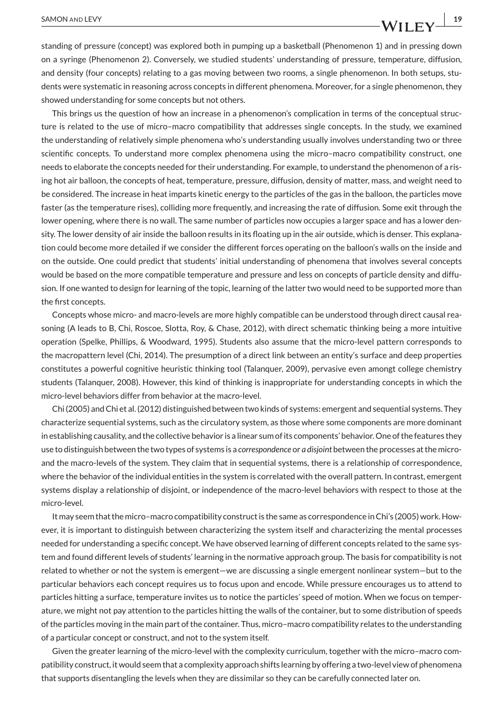standing of pressure (concept) was explored both in pumping up a basketball (Phenomenon 1) and in pressing down on a syringe (Phenomenon 2). Conversely, we studied students' understanding of pressure, temperature, diffusion, and density (four concepts) relating to a gas moving between two rooms, a single phenomenon. In both setups, students were systematic in reasoning across concepts in different phenomena. Moreover, for a single phenomenon, they showed understanding for some concepts but not others.

This brings us the question of how an increase in a phenomenon's complication in terms of the conceptual structure is related to the use of micro–macro compatibility that addresses single concepts. In the study, we examined the understanding of relatively simple phenomena who's understanding usually involves understanding two or three scientific concepts. To understand more complex phenomena using the micro–macro compatibility construct, one needs to elaborate the concepts needed for their understanding. For example, to understand the phenomenon of a rising hot air balloon, the concepts of heat, temperature, pressure, diffusion, density of matter, mass, and weight need to be considered. The increase in heat imparts kinetic energy to the particles of the gas in the balloon, the particles move faster (as the temperature rises), colliding more frequently, and increasing the rate of diffusion. Some exit through the lower opening, where there is no wall. The same number of particles now occupies a larger space and has a lower density. The lower density of air inside the balloon results in its floating up in the air outside, which is denser. This explanation could become more detailed if we consider the different forces operating on the balloon's walls on the inside and on the outside. One could predict that students' initial understanding of phenomena that involves several concepts would be based on the more compatible temperature and pressure and less on concepts of particle density and diffusion. If one wanted to design for learning of the topic, learning of the latter two would need to be supported more than the first concepts.

Concepts whose micro- and macro-levels are more highly compatible can be understood through direct causal reasoning (A leads to B, Chi, Roscoe, Slotta, Roy, & Chase, 2012), with direct schematic thinking being a more intuitive operation (Spelke, Phillips, & Woodward, 1995). Students also assume that the micro-level pattern corresponds to the macropattern level (Chi, 2014). The presumption of a direct link between an entity's surface and deep properties constitutes a powerful cognitive heuristic thinking tool (Talanquer, 2009), pervasive even amongt college chemistry students (Talanquer, 2008). However, this kind of thinking is inappropriate for understanding concepts in which the micro-level behaviors differ from behavior at the macro-level.

Chi (2005) and Chi et al. (2012) distinguished between two kinds of systems: emergent and sequential systems. They characterize sequential systems, such as the circulatory system, as those where some components are more dominant in establishing causality, and the collective behavior is a linear sum of its components' behavior. One of the features they use to distinguish between the two types of systems is a *correspondence* or *a disjoint* between the processes at the microand the macro-levels of the system. They claim that in sequential systems, there is a relationship of correspondence, where the behavior of the individual entities in the system is correlated with the overall pattern. In contrast, emergent systems display a relationship of disjoint, or independence of the macro-level behaviors with respect to those at the micro-level.

It may seem that the micro–macro compatibility construct is the same as correspondence in Chi's (2005) work. However, it is important to distinguish between characterizing the system itself and characterizing the mental processes needed for understanding a specific concept. We have observed learning of different concepts related to the same system and found different levels of students' learning in the normative approach group. The basis for compatibility is not related to whether or not the system is emergent—we are discussing a single emergent nonlinear system—but to the particular behaviors each concept requires us to focus upon and encode. While pressure encourages us to attend to particles hitting a surface, temperature invites us to notice the particles' speed of motion. When we focus on temperature, we might not pay attention to the particles hitting the walls of the container, but to some distribution of speeds of the particles moving in the main part of the container. Thus, micro–macro compatibility relates to the understanding of a particular concept or construct, and not to the system itself.

Given the greater learning of the micro-level with the complexity curriculum, together with the micro–macro compatibility construct, it would seem that a complexity approach shifts learning by offering a two-level view of phenomena that supports disentangling the levels when they are dissimilar so they can be carefully connected later on.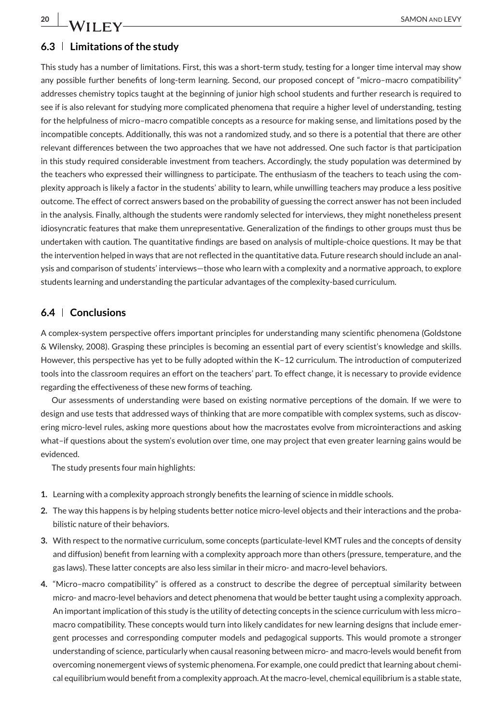# **6.3 Limitations of the study**

This study has a number of limitations. First, this was a short-term study, testing for a longer time interval may show any possible further benefits of long-term learning. Second, our proposed concept of "micro–macro compatibility" addresses chemistry topics taught at the beginning of junior high school students and further research is required to see if is also relevant for studying more complicated phenomena that require a higher level of understanding, testing for the helpfulness of micro–macro compatible concepts as a resource for making sense, and limitations posed by the incompatible concepts. Additionally, this was not a randomized study, and so there is a potential that there are other relevant differences between the two approaches that we have not addressed. One such factor is that participation in this study required considerable investment from teachers. Accordingly, the study population was determined by the teachers who expressed their willingness to participate. The enthusiasm of the teachers to teach using the complexity approach is likely a factor in the students' ability to learn, while unwilling teachers may produce a less positive outcome. The effect of correct answers based on the probability of guessing the correct answer has not been included in the analysis. Finally, although the students were randomly selected for interviews, they might nonetheless present idiosyncratic features that make them unrepresentative. Generalization of the findings to other groups must thus be undertaken with caution. The quantitative findings are based on analysis of multiple-choice questions. It may be that the intervention helped in ways that are not reflected in the quantitative data. Future research should include an analysis and comparison of students' interviews—those who learn with a complexity and a normative approach, to explore students learning and understanding the particular advantages of the complexity-based curriculum.

## **6.4 Conclusions**

A complex-system perspective offers important principles for understanding many scientific phenomena (Goldstone & Wilensky, 2008). Grasping these principles is becoming an essential part of every scientist's knowledge and skills. However, this perspective has yet to be fully adopted within the K–12 curriculum. The introduction of computerized tools into the classroom requires an effort on the teachers' part. To effect change, it is necessary to provide evidence regarding the effectiveness of these new forms of teaching.

Our assessments of understanding were based on existing normative perceptions of the domain. If we were to design and use tests that addressed ways of thinking that are more compatible with complex systems, such as discovering micro-level rules, asking more questions about how the macrostates evolve from microinteractions and asking what–if questions about the system's evolution over time, one may project that even greater learning gains would be evidenced.

The study presents four main highlights:

- **1.** Learning with a complexity approach strongly benefits the learning of science in middle schools.
- **2.** The way this happens is by helping students better notice micro-level objects and their interactions and the probabilistic nature of their behaviors.
- **3.** With respect to the normative curriculum, some concepts (particulate-level KMT rules and the concepts of density and diffusion) benefit from learning with a complexity approach more than others (pressure, temperature, and the gas laws). These latter concepts are also less similar in their micro- and macro-level behaviors.
- **4.** "Micro–macro compatibility" is offered as a construct to describe the degree of perceptual similarity between micro- and macro-level behaviors and detect phenomena that would be better taught using a complexity approach. An important implication of this study is the utility of detecting concepts in the science curriculum with less micro– macro compatibility. These concepts would turn into likely candidates for new learning designs that include emergent processes and corresponding computer models and pedagogical supports. This would promote a stronger understanding of science, particularly when causal reasoning between micro- and macro-levels would benefit from overcoming nonemergent views of systemic phenomena. For example, one could predict that learning about chemical equilibrium would benefit from a complexity approach. At the macro-level, chemical equilibrium is a stable state,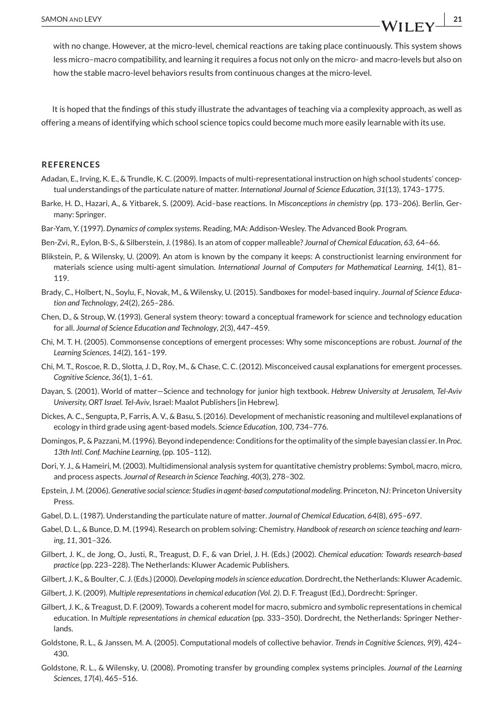with no change. However, at the micro-level, chemical reactions are taking place continuously. This system shows less micro–macro compatibility, and learning it requires a focus not only on the micro- and macro-levels but also on how the stable macro-level behaviors results from continuous changes at the micro-level.

It is hoped that the findings of this study illustrate the advantages of teaching via a complexity approach, as well as offering a means of identifying which school science topics could become much more easily learnable with its use.

#### **REFERENCES**

- Adadan, E., Irving, K. E., & Trundle, K. C. (2009). Impacts of multi-representational instruction on high school students' conceptual understandings of the particulate nature of matter. *International Journal of Science Education*, *31*(13), 1743–1775.
- Barke, H. D., Hazari, A., & Yitbarek, S. (2009). Acid–base reactions. In *Misconceptions in chemistry* (pp. 173–206). Berlin, Germany: Springer.
- Bar-Yam, Y. (1997). *Dynamics of complex systems*. Reading, MA: Addison-Wesley. The Advanced Book Program.
- Ben-Zvi, R., Eylon, B-S., & Silberstein, J. (1986). Is an atom of copper malleable? *Journal of Chemical Education*, *63*, 64–66.
- Blikstein, P., & Wilensky, U. (2009). An atom is known by the company it keeps: A constructionist learning environment for materials science using multi-agent simulation. *International Journal of Computers for Mathematical Learning*, *14*(1), 81– 119.
- Brady, C., Holbert, N., Soylu, F., Novak, M., & Wilensky, U. (2015). Sandboxes for model-based inquiry. *Journal of Science Education and Technology*, *24*(2), 265–286.
- Chen, D., & Stroup, W. (1993). General system theory: toward a conceptual framework for science and technology education for all. *Journal of Science Education and Technology*, *2*(3), 447–459.
- Chi, M. T. H. (2005). Commonsense conceptions of emergent processes: Why some misconceptions are robust. *Journal of the Learning Sciences*, *14*(2), 161–199.
- Chi, M. T., Roscoe, R. D., Slotta, J. D., Roy, M., & Chase, C. C. (2012). Misconceived causal explanations for emergent processes. *Cognitive Science*, *36*(1), 1–61.
- Dayan, S. (2001). World of matter—Science and technology for junior high textbook. *Hebrew University at Jerusalem, Tel-Aviv University, ORT Israel. Tel-Aviv*, Israel: Maalot Publishers [in Hebrew].
- Dickes, A. C., Sengupta, P., Farris, A. V., & Basu, S. (2016). Development of mechanistic reasoning and multilevel explanations of ecology in third grade using agent-based models. *Science Education*, *100*, 734–776.
- Domingos, P., & Pazzani, M. (1996). Beyond independence: Conditions for the optimality of the simple bayesian classi er. In *Proc. 13th Intl. Conf. Machine Learning*, (pp. 105–112).
- Dori, Y. J., & Hameiri, M. (2003). Multidimensional analysis system for quantitative chemistry problems: Symbol, macro, micro, and process aspects. *Journal of Research in Science Teaching*, *40*(3), 278–302.
- Epstein, J. M. (2006).*Generative social science: Studies in agent-based computational modeling*. Princeton, NJ: Princeton University Press.
- Gabel, D. L. (1987). Understanding the particulate nature of matter. *Journal of Chemical Education*, *64*(8), 695–697.
- Gabel, D. L., & Bunce, D. M. (1994). Research on problem solving: Chemistry. *Handbook of research on science teaching and learning*, *11*, 301–326.
- Gilbert, J. K., de Jong, O., Justi, R., Treagust, D. F., & van Driel, J. H. (Eds.) (2002). *Chemical education: Towards research-based practice* (pp. 223–228). The Netherlands: Kluwer Academic Publishers.
- Gilbert, J. K., & Boulter, C. J. (Eds.) (2000).*Developing models in science education*. Dordrecht, the Netherlands: Kluwer Academic.
- Gilbert, J. K. (2009). *Multiple representations in chemical education (Vol. 2)*. D. F. Treagust (Ed.), Dordrecht: Springer.
- Gilbert, J. K., & Treagust, D. F. (2009). Towards a coherent model for macro, submicro and symbolic representations in chemical education. In *Multiple representations in chemical education* (pp. 333–350). Dordrecht, the Netherlands: Springer Netherlands.
- Goldstone, R. L., & Janssen, M. A. (2005). Computational models of collective behavior. *Trends in Cognitive Sciences*, *9*(9), 424– 430.
- Goldstone, R. L., & Wilensky, U. (2008). Promoting transfer by grounding complex systems principles. *Journal of the Learning Sciences*, *17*(4), 465–516.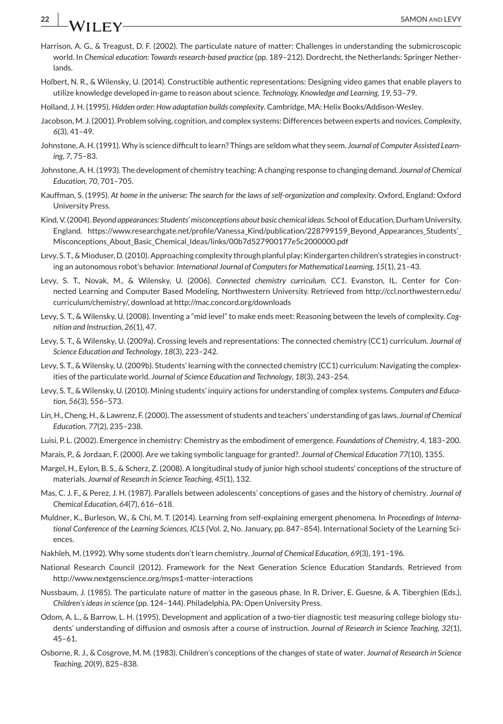- Harrison, A. G., & Treagust, D. F. (2002). The particulate nature of matter: Challenges in understanding the submicroscopic world. In *Chemical education: Towards research-based practice* (pp. 189–212). Dordrecht, the Netherlands: Springer Netherlands.
- Holbert, N. R., & Wilensky, U. (2014). Constructible authentic representations: Designing video games that enable players to utilize knowledge developed in-game to reason about science. *Technology, Knowledge and Learning*, *19*, 53–79.
- Holland, J. H. (1995). *Hidden order: How adaptation builds complexity*. Cambridge, MA: Helix Books/Addison-Wesley.
- Jacobson, M. J. (2001). Problem solving, cognition, and complex systems: Differences between experts and novices. *Complexity*, *6*(3), 41–49.
- Johnstone, A. H. (1991). Why is science difficult to learn? Things are seldom what they seem. *Journal of Computer Assisted Learning*, *7*, 75–83.
- Johnstone, A. H. (1993). The development of chemistry teaching: A changing response to changing demand. *Journal of Chemical Education*, *70*, 701–705.
- Kauffman, S. (1995). *At home in the universe: The search for the laws of self-organization and complexity*. Oxford, England: Oxford University Press.
- Kind, V. (2004). *Beyond appearances: Students' misconceptions about basic chemical ideas*. School of Education, Durham University, England. [https://www.researchgate.net/profile/Vanessa\\_Kind/publication/228799159\\_Beyond\\_Appearances\\_Students'\\_](https://www.researchgate.net/profile/Vanessa_Kind/publication/228799159_Beyond_Appearances_Students_Misconceptions_About_Basic_Chemical_Ideas/links/00b7d527900177e5c2000000.pdf) [Misconceptions\\_About\\_Basic\\_Chemical\\_Ideas/links/00b7d527900177e5c2000000.pdf](https://www.researchgate.net/profile/Vanessa_Kind/publication/228799159_Beyond_Appearances_Students_Misconceptions_About_Basic_Chemical_Ideas/links/00b7d527900177e5c2000000.pdf)
- Levy, S. T., & Mioduser, D. (2010). Approaching complexity through planful play: Kindergarten children's strategies in constructing an autonomous robot's behavior. *International Journal of Computers for Mathematical Learning*, *15*(1), 21–43.
- Levy, S. T., Novak, M., & Wilensky, U. (2006). *Connected chemistry curriculum, CC1*. Evanston, IL. Center for Connected Learning and Computer Based Modeling, Northwestern University. Retrieved from [http://ccl.northwestern.edu/](http://ccl.northwestern.edu/curriculum/chemistry/,) [curriculum/chemistry/,](http://ccl.northwestern.edu/curriculum/chemistry/,) download at<http://mac.concord.org/downloads>
- Levy, S. T., & Wilensky, U. (2008). Inventing a "mid level" to make ends meet: Reasoning between the levels of complexity. *Cognition and Instruction*, *26*(1), 47.
- Levy, S. T., & Wilensky, U. (2009a). Crossing levels and representations: The connected chemistry (CC1) curriculum. *Journal of Science Education and Technology*, *18*(3), 223–242.
- Levy, S. T., & Wilensky, U. (2009b). Students' learning with the connected chemistry (CC1) curriculum: Navigating the complexities of the particulate world. *Journal of Science Education and Technology*, *18*(3), 243–254.
- Levy, S. T., & Wilensky, U. (2010). Mining students' inquiry actions for understanding of complex systems. *Computers and Education*, *56*(3), 556–573.
- Lin, H., Cheng, H., & Lawrenz, F. (2000). The assessment of students and teachers' understanding of gas laws. *Journal of Chemical Education*, *77*(2), 235–238.
- Luisi, P. L. (2002). Emergence in chemistry: Chemistry as the embodiment of emergence. *Foundations of Chemistry*, *4*, 183–200.
- Marais, P., & Jordaan, F. (2000). Are we taking symbolic language for granted?. *Journal of Chemical Education 77*(10), 1355.
- Margel, H., Eylon, B. S., & Scherz, Z. (2008). A longitudinal study of junior high school students' conceptions of the structure of materials. *Journal of Research in Science Teaching*, *45*(1), 132.
- Mas, C. J. F., & Perez, J. H. (1987). Parallels between adolescents' conceptions of gases and the history of chemistry. *Journal of Chemical Education*, *64*(7), 616–618.
- Muldner, K., Burleson, W., & Chi, M. T. (2014). Learning from self-explaining emergent phenomena. In *Proceedings of International Conference of the Learning Sciences, ICLS* (Vol. 2, No. January, pp. 847–854). International Society of the Learning Sciences.
- Nakhleh, M. (1992). Why some students don't learn chemistry. *Journal of Chemical Education*, *69*(3), 191–196.
- National Research Council (2012). Framework for the Next Generation Science Education Standards. Retrieved from <http://www.nextgenscience.org/msps1-matter-interactions>
- Nussbaum, J. (1985). The particulate nature of matter in the gaseous phase. In R. Driver, E. Guesne, & A. Tiberghien (Eds.), *Children's ideas in science* (pp. 124–144). Philadelphia, PA: Open University Press.
- Odom, A. L., & Barrow, L. H. (1995). Development and application of a two-tier diagnostic test measuring college biology students' understanding of diffusion and osmosis after a course of instruction. *Journal of Research in Science Teaching*, *32*(1), 45–61.
- Osborne, R. J., & Cosgrove, M. M. (1983). Children's conceptions of the changes of state of water. *Journal of Research in Science Teaching*, *20*(9), 825–838.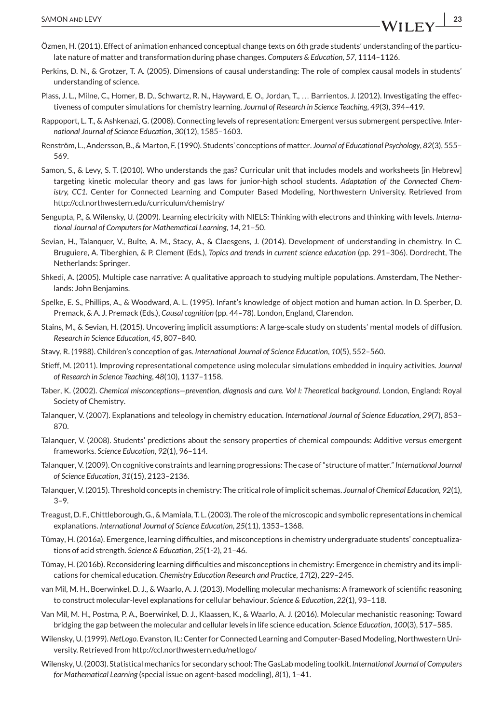- Özmen, H. (2011). Effect of animation enhanced conceptual change texts on 6th grade students' understanding of the particulate nature of matter and transformation during phase changes. *Computers & Education*, *57*, 1114–1126.
- Perkins, D. N., & Grotzer, T. A. (2005). Dimensions of causal understanding: The role of complex causal models in students' understanding of science.
- Plass, J. L., Milne, C., Homer, B. D., Schwartz, R. N., Hayward, E. O., Jordan, T., … Barrientos, J. (2012). Investigating the effectiveness of computer simulations for chemistry learning. *Journal of Research in Science Teaching*, *49*(3), 394–419.
- Rappoport, L. T., & Ashkenazi, G. (2008). Connecting levels of representation: Emergent versus submergent perspective. *International Journal of Science Education*, *30*(12), 1585–1603.
- Renström, L., Andersson, B., & Marton, F. (1990). Students' conceptions of matter. *Journal of Educational Psychology*, *82*(3), 555– 569.
- Samon, S., & Levy, S. T. (2010). Who understands the gas? Curricular unit that includes models and worksheets [in Hebrew] targeting kinetic molecular theory and gas laws for junior-high school students. *Adaptation of the Connected Chemistry, CC1.* Center for Connected Learning and Computer Based Modeling, Northwestern University. Retrieved from <http://ccl.northwestern.edu/curriculum/chemistry/>
- Sengupta, P., & Wilensky, U. (2009). Learning electricity with NIELS: Thinking with electrons and thinking with levels. *International Journal of Computers for Mathematical Learning*, *14*, 21–50.
- Sevian, H., Talanquer, V., Bulte, A. M., Stacy, A., & Claesgens, J. (2014). Development of understanding in chemistry. In C. Bruguiere, A. Tiberghien, & P. Clement (Eds.), *Topics and trends in current science education* (pp. 291–306). Dordrecht, The Netherlands: Springer.
- Shkedi, A. (2005). Multiple case narrative: A qualitative approach to studying multiple populations. Amsterdam, The Netherlands: John Benjamins.
- Spelke, E. S., Phillips, A., & Woodward, A. L. (1995). Infant's knowledge of object motion and human action. In D. Sperber, D. Premack, & A. J. Premack (Eds.), *Causal cognition* (pp. 44–78). London, England, Clarendon.
- Stains, M., & Sevian, H. (2015). Uncovering implicit assumptions: A large-scale study on students' mental models of diffusion. *Research in Science Education*, *45*, 807–840.
- Stavy, R. (1988). Children's conception of gas. *International Journal of Science Education*, *10*(5), 552–560.
- Stieff, M. (2011). Improving representational competence using molecular simulations embedded in inquiry activities. *Journal of Research in Science Teaching*, *48*(10), 1137–1158.
- Taber, K. (2002). *Chemical misconceptions—prevention, diagnosis and cure. Vol I: Theoretical background*. London, England: Royal Society of Chemistry.
- Talanquer, V. (2007). Explanations and teleology in chemistry education. *International Journal of Science Education*, *29*(7), 853– 870.
- Talanquer, V. (2008). Students' predictions about the sensory properties of chemical compounds: Additive versus emergent frameworks. *Science Education*, *92*(1), 96–114.
- Talanquer, V. (2009). On cognitive constraints and learning progressions: The case of "structure of matter."*International Journal of Science Education*, *31*(15), 2123–2136.
- Talanquer, V. (2015). Threshold concepts in chemistry: The critical role of implicit schemas. *Journal of Chemical Education*, *92*(1), 3–9.
- Treagust, D. F., Chittleborough, G., & Mamiala, T. L. (2003). The role of the microscopic and symbolic representations in chemical explanations. *International Journal of Science Education*, *25*(11), 1353–1368.
- Tümay, H. (2016a). Emergence, learning difficulties, and misconceptions in chemistry undergraduate students' conceptualizations of acid strength. *Science & Education*, *25*(1-2), 21–46.
- Tümay, H. (2016b). Reconsidering learning difficulties and misconceptions in chemistry: Emergence in chemistry and its implications for chemical education. *Chemistry Education Research and Practice*, *17*(2), 229–245.
- van Mil, M. H., Boerwinkel, D. J., & Waarlo, A. J. (2013). Modelling molecular mechanisms: A framework of scientific reasoning to construct molecular-level explanations for cellular behaviour. *Science & Education*, *22*(1), 93–118.
- Van Mil, M. H., Postma, P. A., Boerwinkel, D. J., Klaassen, K., & Waarlo, A. J. (2016). Molecular mechanistic reasoning: Toward bridging the gap between the molecular and cellular levels in life science education. *Science Education*, *100*(3), 517–585.
- Wilensky, U. (1999).*NetLogo*. Evanston, IL: Center for Connected Learning and Computer-Based Modeling, Northwestern University. Retrieved fro[m http://ccl.northwestern.edu/netlogo/](http://ccl.northwestern.edu/netlogo/)
- Wilensky, U. (2003). Statistical mechanics for secondary school: The GasLab modeling toolkit. *International Journal of Computers for Mathematical Learning* (special issue on agent-based modeling), *8*(1), 1–41.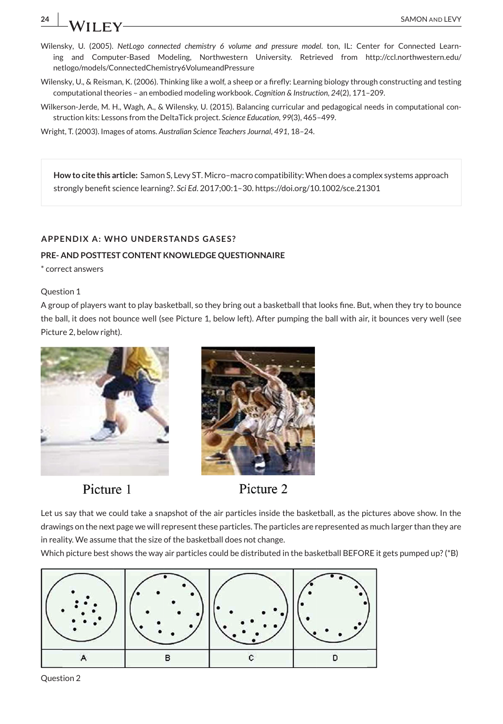- Wilensky, U. (2005). *NetLogo connected chemistry 6 volume and pressure model*. ton, IL: Center for Connected Learning and Computer-Based Modeling, Northwestern University. Retrieved from [http://ccl.northwestern.edu/](http://ccl.northwestern.edu/netlogo/models/ConnectedChemistry6VolumeandPressure) [netlogo/models/ConnectedChemistry6VolumeandPressure](http://ccl.northwestern.edu/netlogo/models/ConnectedChemistry6VolumeandPressure)
- Wilensky, U., & Reisman, K. (2006). Thinking like a wolf, a sheep or a firefly: Learning biology through constructing and testing computational theories – an embodied modeling workbook. *Cognition & Instruction*, *24*(2), 171–209.
- Wilkerson-Jerde, M. H., Wagh, A., & Wilensky, U. (2015). Balancing curricular and pedagogical needs in computational construction kits: Lessons from the DeltaTick project. *Science Education*, *99*(3), 465–499.

Wright, T. (2003). Images of atoms. *Australian Science Teachers Journal*, *491*, 18–24.

**How to cite this article:** Samon S, Levy ST. Micro–macro compatibility:When does a complex systems approach strongly benefit science learning?. *Sci Ed*. 2017;00:1–30.<https://doi.org/10.1002/sce.21301>

#### **APPENDIX A: WHO UNDERSTANDS GASES?**

#### **PRE- AND POSTTEST CONTENT KNOWLEDGE QUESTIONNAIRE**

\* correct answers

#### Question 1

A group of players want to play basketball, so they bring out a basketball that looks fine. But, when they try to bounce the ball, it does not bounce well (see Picture 1, below left). After pumping the ball with air, it bounces very well (see Picture 2, below right).





# Picture 1

Picture 2

Let us say that we could take a snapshot of the air particles inside the basketball, as the pictures above show. In the drawings on the next page we will represent these particles. The particles are represented as much larger than they are in reality. We assume that the size of the basketball does not change.

Which picture best shows the way air particles could be distributed in the basketball BEFORE it gets pumped up? (\*B)

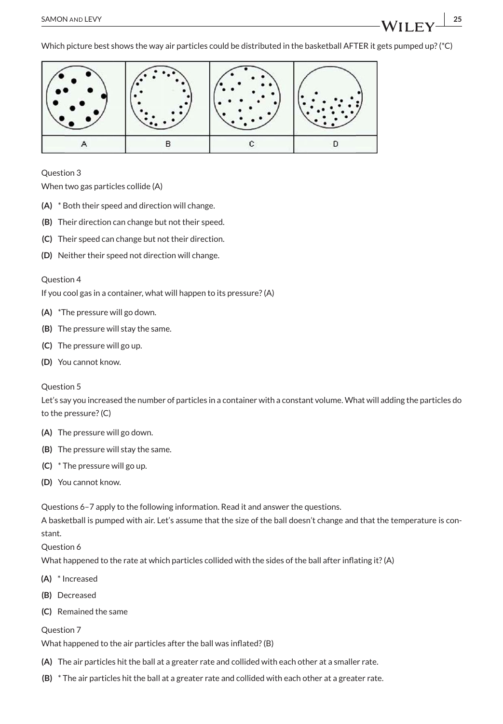Which picture best shows the way air particles could be distributed in the basketball AFTER it gets pumped up? (\*C)



Question 3

When two gas particles collide (A)

- **(A)** \* Both their speed and direction will change.
- **(B)** Their direction can change but not their speed.
- **(C)** Their speed can change but not their direction.
- **(D)** Neither their speed not direction will change.

#### Question 4

If you cool gas in a container, what will happen to its pressure? (A)

- **(A)** \*The pressure will go down.
- **(B)** The pressure will stay the same.
- **(C)** The pressure will go up.
- **(D)** You cannot know.

#### Question 5

Let's say you increased the number of particles in a container with a constant volume. What will adding the particles do to the pressure? (C)

- **(A)** The pressure will go down.
- **(B)** The pressure will stay the same.
- **(C)** \* The pressure will go up.
- **(D)** You cannot know.

Questions 6–7 apply to the following information. Read it and answer the questions.

A basketball is pumped with air. Let's assume that the size of the ball doesn't change and that the temperature is constant.

#### Question 6

What happened to the rate at which particles collided with the sides of the ball after inflating it? (A)

- **(A)** \* Increased
- **(B)** Decreased
- **(C)** Remained the same

#### Question 7

What happened to the air particles after the ball was inflated? (B)

- **(A)** The air particles hit the ball at a greater rate and collided with each other at a smaller rate.
- **(B)** \* The air particles hit the ball at a greater rate and collided with each other at a greater rate.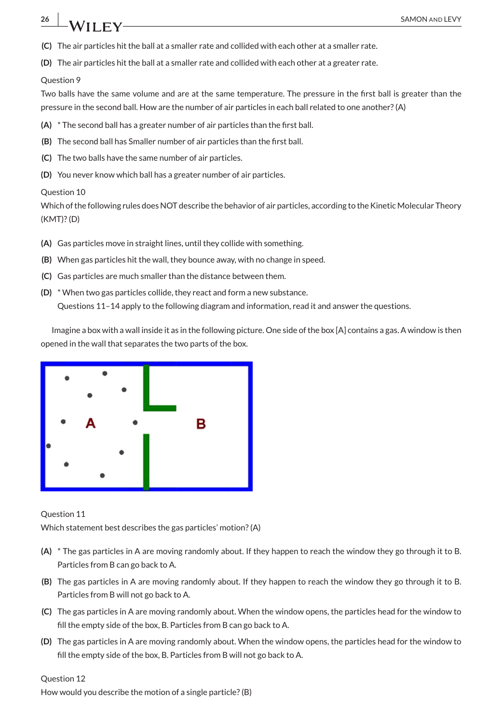**26** SAMON AND LEVY

- **(C)** The air particles hit the ball at a smaller rate and collided with each other at a smaller rate.
- **(D)** The air particles hit the ball at a smaller rate and collided with each other at a greater rate.

#### Question 9

Two balls have the same volume and are at the same temperature. The pressure in the first ball is greater than the pressure in the second ball. How are the number of air particles in each ball related to one another? (A)

- **(A)** \* The second ball has a greater number of air particles than the first ball.
- **(B)** The second ball has Smaller number of air particles than the first ball.
- **(C)** The two balls have the same number of air particles.
- **(D)** You never know which ball has a greater number of air particles.

#### Question 10

Which of the following rules does NOT describe the behavior of air particles, according to the Kinetic Molecular Theory (KMT)? (D)

- **(A)** Gas particles move in straight lines, until they collide with something.
- **(B)** When gas particles hit the wall, they bounce away, with no change in speed.
- **(C)** Gas particles are much smaller than the distance between them.
- **(D)** \* When two gas particles collide, they react and form a new substance. Questions 11–14 apply to the following diagram and information, read it and answer the questions.

Imagine a box with a wall inside it as in the following picture. One side of the box [A] contains a gas. A window is then opened in the wall that separates the two parts of the box.



#### Question 11

Which statement best describes the gas particles' motion? (A)

- **(A)** \* The gas particles in A are moving randomly about. If they happen to reach the window they go through it to B. Particles from B can go back to A.
- **(B)** The gas particles in A are moving randomly about. If they happen to reach the window they go through it to B. Particles from B will not go back to A.
- **(C)** The gas particles in A are moving randomly about. When the window opens, the particles head for the window to fill the empty side of the box, B. Particles from B can go back to A.
- **(D)** The gas particles in A are moving randomly about. When the window opens, the particles head for the window to fill the empty side of the box, B. Particles from B will not go back to A.

#### Question 12

How would you describe the motion of a single particle? (B)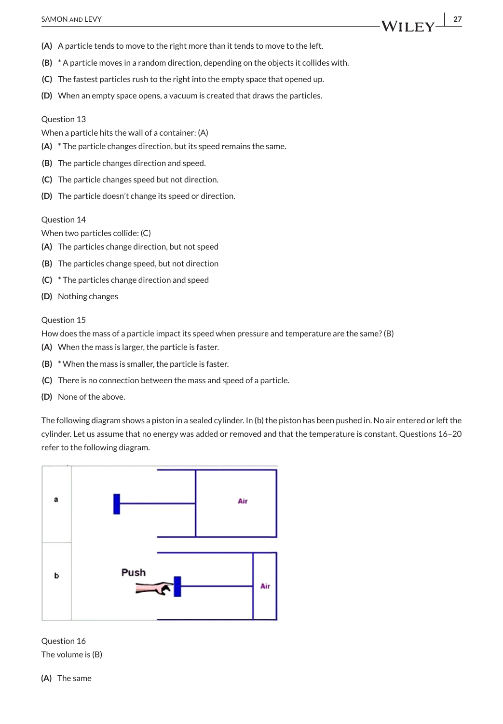- **(A)** A particle tends to move to the right more than it tends to move to the left.
- **(B)** \* A particle moves in a random direction, depending on the objects it collides with.
- **(C)** The fastest particles rush to the right into the empty space that opened up.
- **(D)** When an empty space opens, a vacuum is created that draws the particles.

#### Question 13

When a particle hits the wall of a container: (A)

- **(A)** \* The particle changes direction, but its speed remains the same.
- **(B)** The particle changes direction and speed.
- **(C)** The particle changes speed but not direction.
- **(D)** The particle doesn't change its speed or direction.

#### Question 14

When two particles collide: (C)

- **(A)** The particles change direction, but not speed
- **(B)** The particles change speed, but not direction
- **(C)** \* The particles change direction and speed
- **(D)** Nothing changes

#### Question 15

How does the mass of a particle impact its speed when pressure and temperature are the same? (B)

- **(A)** When the mass is larger, the particle is faster.
- **(B)** \* When the mass is smaller, the particle is faster.
- **(C)** There is no connection between the mass and speed of a particle.
- **(D)** None of the above.

The following diagram shows a piston in a sealed cylinder. In (b) the piston has been pushed in. No air entered or left the cylinder. Let us assume that no energy was added or removed and that the temperature is constant. Questions 16–20 refer to the following diagram.



Question 16 The volume is (B)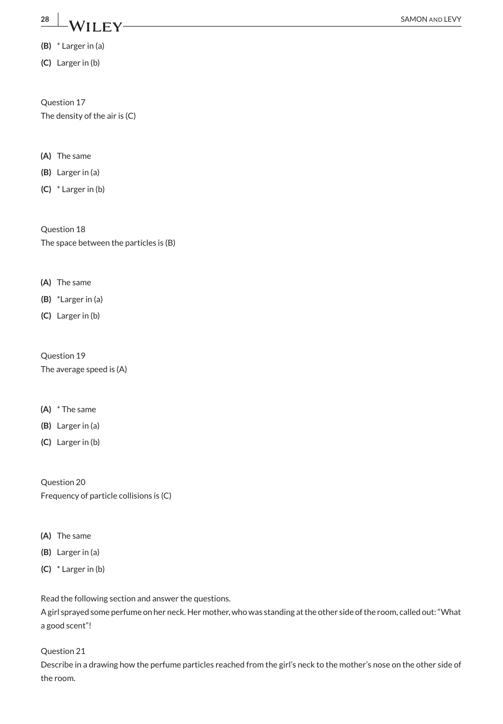**28** WILEY-**SAMON AND LEVY** 

**(B)** \* Larger in (a)

**(C)** Larger in (b)

Question 17 The density of the air is (C)

**(A)** The same

**(B)** Larger in (a)

**(C)** \* Larger in (b)

Question 18 The space between the particles is (B)

- **(A)** The same
- **(B)** \*Larger in (a)
- **(C)** Larger in (b)

Question 19 The average speed is (A)

**(A)** \* The same

**(B)** Larger in (a)

**(C)** Larger in (b)

Question 20 Frequency of particle collisions is (C)

- **(A)** The same
- **(B)** Larger in (a)
- **(C)** \* Larger in (b)

Read the following section and answer the questions.

A girl sprayed some perfume on her neck. Her mother, who was standing at the other side of the room, called out: "What a good scent"!

Question 21

Describe in a drawing how the perfume particles reached from the girl's neck to the mother's nose on the other side of the room.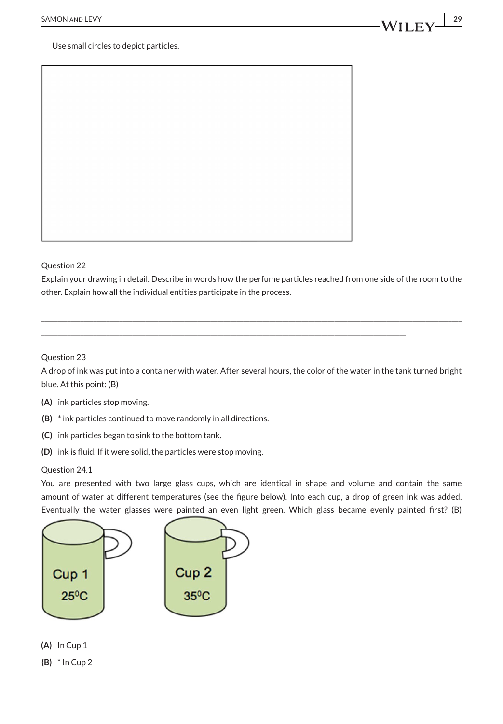Use small circles to depict particles.

#### Question 22

Explain your drawing in detail. Describe in words how the perfume particles reached from one side of the room to the other. Explain how all the individual entities participate in the process.

\_\_\_\_\_\_\_\_\_\_\_\_\_\_\_\_\_\_\_\_\_\_\_\_\_\_\_\_\_\_\_\_\_\_\_\_\_\_\_\_\_\_\_\_\_\_\_\_\_\_\_\_\_\_\_\_\_\_\_\_\_\_\_\_\_\_\_\_\_\_\_\_\_\_\_\_\_\_\_\_\_\_\_\_\_\_\_\_\_\_\_\_\_\_\_\_\_\_\_\_\_\_\_\_\_\_\_\_\_\_\_\_\_\_\_\_\_\_\_\_\_\_\_\_\_\_\_\_\_

\_\_\_\_\_\_\_\_\_\_\_\_\_\_\_\_\_\_\_\_\_\_\_\_\_\_\_\_\_\_\_\_\_\_\_\_\_\_\_\_\_\_\_\_\_\_\_\_\_\_\_\_\_\_\_\_\_\_\_\_\_\_\_\_\_\_\_\_\_\_\_\_\_\_\_\_\_\_\_\_\_\_\_\_\_\_\_\_\_\_\_\_\_\_\_\_\_\_\_\_\_\_\_\_\_\_\_\_\_\_\_\_

#### Question 23

A drop of ink was put into a container with water. After several hours, the color of the water in the tank turned bright blue. At this point: (B)

- **(A)** ink particles stop moving.
- **(B)** \* ink particles continued to move randomly in all directions.
- **(C)** ink particles began to sink to the bottom tank.
- **(D)** ink is fluid. If it were solid, the particles were stop moving.

#### Question 24.1

You are presented with two large glass cups, which are identical in shape and volume and contain the same amount of water at different temperatures (see the figure below). Into each cup, a drop of green ink was added. Eventually the water glasses were painted an even light green. Which glass became evenly painted first? (B)



**(A)** In Cup 1

**(B)** \* In Cup 2